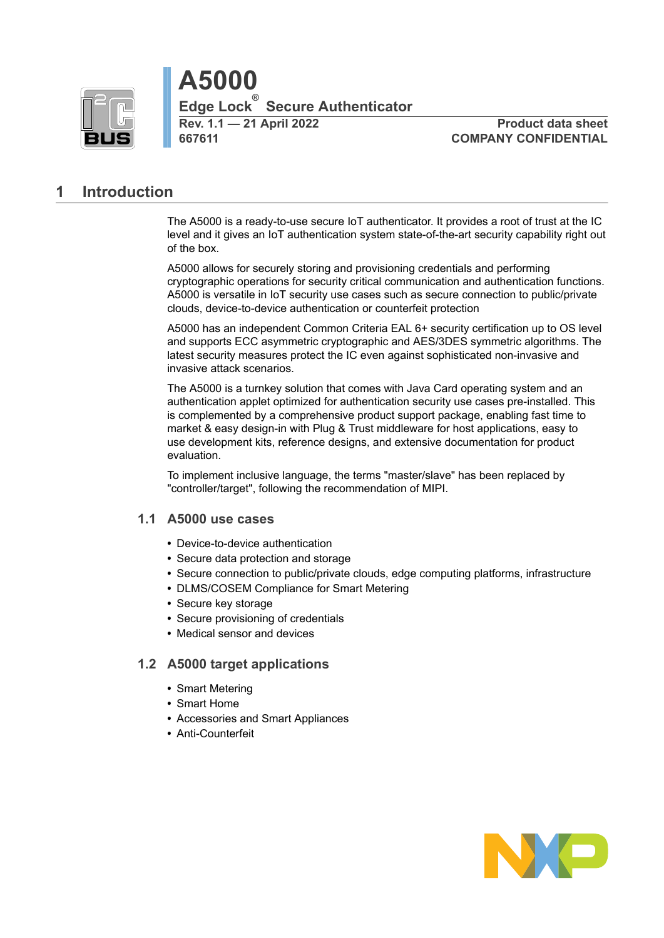

**Rev. 1.1 — 21 April 2022 Product data sheet 667611 COMPANY CONFIDENTIAL**

# <span id="page-0-0"></span>**1 Introduction**

The A5000 is a ready-to-use secure IoT authenticator. It provides a root of trust at the IC level and it gives an IoT authentication system state-of-the-art security capability right out of the box.

A5000 allows for securely storing and provisioning credentials and performing cryptographic operations for security critical communication and authentication functions. A5000 is versatile in IoT security use cases such as secure connection to public/private clouds, device-to-device authentication or counterfeit protection

A5000 has an independent Common Criteria EAL 6+ security certification up to OS level and supports ECC asymmetric cryptographic and AES/3DES symmetric algorithms. The latest security measures protect the IC even against sophisticated non-invasive and invasive attack scenarios.

The A5000 is a turnkey solution that comes with Java Card operating system and an authentication applet optimized for authentication security use cases pre-installed. This is complemented by a comprehensive product support package, enabling fast time to market & easy design-in with Plug & Trust middleware for host applications, easy to use development kits, reference designs, and extensive documentation for product evaluation.

<span id="page-0-1"></span>To implement inclusive language, the terms "master/slave" has been replaced by "controller/target", following the recommendation of MIPI.

## **1.1 A5000 use cases**

- **•** Device-to-device authentication
- **•** Secure data protection and storage
- **•** Secure connection to public/private clouds, edge computing platforms, infrastructure
- **•** DLMS/COSEM Compliance for Smart Metering
- **•** Secure key storage
- **•** Secure provisioning of credentials
- <span id="page-0-2"></span>**•** Medical sensor and devices

## **1.2 A5000 target applications**

- **•** Smart Metering
- **•** Smart Home
- **•** Accessories and Smart Appliances
- **•** Anti-Counterfeit

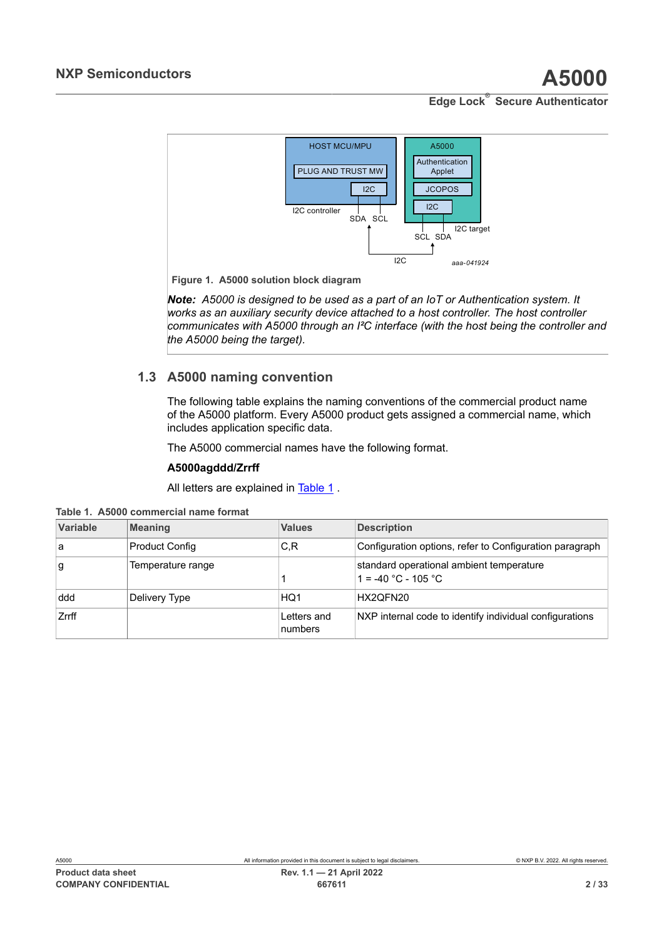<span id="page-1-2"></span>

**Figure 1. A5000 solution block diagram**

*Note: A5000 is designed to be used as a part of an IoT or Authentication system. It works as an auxiliary security device attached to a host controller. The host controller communicates with A5000 through an I²C interface (with the host being the controller and the A5000 being the target).*

# <span id="page-1-1"></span>**1.3 A5000 naming convention**

The following table explains the naming conventions of the commercial product name of the A5000 platform. Every A5000 product gets assigned a commercial name, which includes application specific data.

The A5000 commercial names have the following format.

## **A5000agddd/Zrrff**

<span id="page-1-0"></span>All letters are explained in [Table](#page-1-0) 1 .

|  |  |  | Table 1. A5000 commercial name format |  |  |
|--|--|--|---------------------------------------|--|--|
|--|--|--|---------------------------------------|--|--|

| Variable | <b>Meaning</b>        | <b>Values</b>          | <b>Description</b>                                                |
|----------|-----------------------|------------------------|-------------------------------------------------------------------|
| a        | <b>Product Config</b> | C,R                    | Configuration options, refer to Configuration paragraph           |
| g        | Temperature range     |                        | standard operational ambient temperature<br>$1 = -40 °C - 105 °C$ |
| ddd      | Delivery Type         | HQ1                    | HX2QFN20                                                          |
| Zrrff    |                       | Letters and<br>numbers | NXP internal code to identify individual configurations           |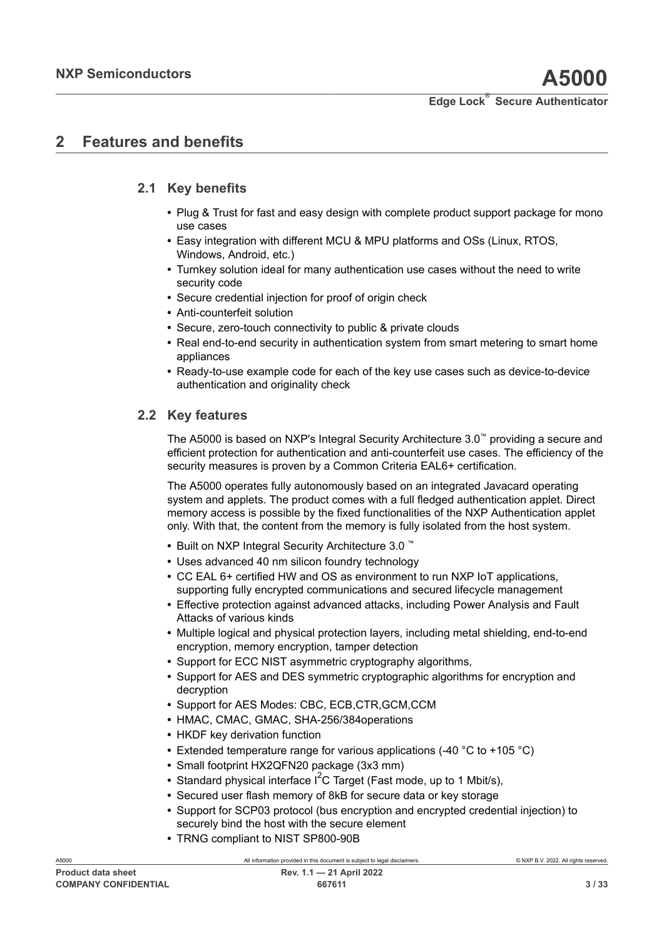# <span id="page-2-0"></span>**2 Features and benefits**

# **2.1 Key benefits**

- <span id="page-2-1"></span>**•** Plug & Trust for fast and easy design with complete product support package for mono use cases
- **•** Easy integration with different MCU & MPU platforms and OSs (Linux, RTOS, Windows, Android, etc.)
- **•** Turnkey solution ideal for many authentication use cases without the need to write security code
- **•** Secure credential injection for proof of origin check
- **•** Anti-counterfeit solution
- **•** Secure, zero-touch connectivity to public & private clouds
- **•** Real end-to-end security in authentication system from smart metering to smart home appliances
- **•** Ready-to-use example code for each of the key use cases such as device-to-device authentication and originality check

## **2.2 Key features**

<span id="page-2-2"></span>The A5000 is based on NXP's Integral Security Architecture 3.0™ providing a secure and efficient protection for authentication and anti-counterfeit use cases. The efficiency of the security measures is proven by a Common Criteria EAL6+ certification.

The A5000 operates fully autonomously based on an integrated Javacard operating system and applets. The product comes with a full fledged authentication applet. Direct memory access is possible by the fixed functionalities of the NXP Authentication applet only. With that, the content from the memory is fully isolated from the host system.

- **•** Built on NXP Integral Security Architecture 3.0 ™
- **•** Uses advanced 40 nm silicon foundry technology
- **•** CC EAL 6+ certified HW and OS as environment to run NXP IoT applications, supporting fully encrypted communications and secured lifecycle management
- **•** Effective protection against advanced attacks, including Power Analysis and Fault Attacks of various kinds
- **•** Multiple logical and physical protection layers, including metal shielding, end-to-end encryption, memory encryption, tamper detection
- **•** Support for ECC NIST asymmetric cryptography algorithms,
- **•** Support for AES and DES symmetric cryptographic algorithms for encryption and decryption
- **•** Support for AES Modes: CBC, ECB,CTR,GCM,CCM
- **•** HMAC, CMAC, GMAC, SHA-256/384operations
- **•** HKDF key derivation function
- **•** Extended temperature range for various applications (-40 °C to +105 °C)
- **•** Small footprint HX2QFN20 package (3x3 mm)
- Standard physical interface I<sup>2</sup>C Target (Fast mode, up to 1 Mbit/s),
- **•** Secured user flash memory of 8kB for secure data or key storage
- **•** Support for SCP03 protocol (bus encryption and encrypted credential injection) to securely bind the host with the secure element
- **•** TRNG compliant to NIST SP800-90B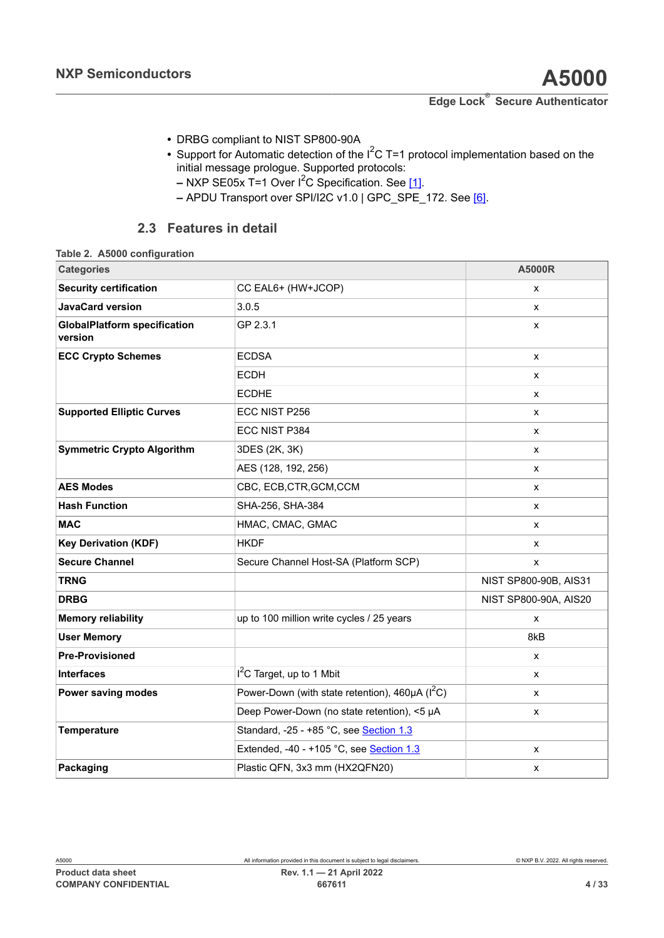- **•** DRBG compliant to NIST SP800-90A
- Support for Automatic detection of the I<sup>2</sup>C T=1 protocol implementation based on the initial message prologue. Supported protocols:
	- **–** NXP SE05x T=1 Over I2C Specification. See [\[1\].](#page-26-0)
	- **–** APDU Transport over SPI/I2C v1.0 | GPC\_SPE\_172. See [\[6\].](#page-26-1)

## <span id="page-3-1"></span><span id="page-3-0"></span>**2.3 Features in detail**

| <b>Categories</b>                              |                                                          | <b>A5000R</b>         |
|------------------------------------------------|----------------------------------------------------------|-----------------------|
| <b>Security certification</b>                  | CC EAL6+ (HW+JCOP)                                       | x                     |
| <b>JavaCard version</b>                        | 3.0.5                                                    | X                     |
| <b>GlobalPlatform specification</b><br>version | GP 2.3.1                                                 | x                     |
| <b>ECC Crypto Schemes</b>                      | <b>ECDSA</b>                                             | X                     |
|                                                | <b>ECDH</b>                                              | x                     |
|                                                | <b>ECDHE</b>                                             | X                     |
| <b>Supported Elliptic Curves</b>               | ECC NIST P256                                            | X                     |
|                                                | ECC NIST P384                                            | X                     |
| <b>Symmetric Crypto Algorithm</b>              | 3DES (2K, 3K)                                            | X                     |
|                                                | AES (128, 192, 256)                                      | X                     |
| <b>AES Modes</b>                               | CBC, ECB, CTR, GCM, CCM                                  | X                     |
| <b>Hash Function</b>                           | SHA-256, SHA-384                                         | X                     |
| <b>MAC</b>                                     | HMAC, CMAC, GMAC                                         | x                     |
| <b>Key Derivation (KDF)</b>                    | <b>HKDF</b>                                              | x                     |
| <b>Secure Channel</b>                          | Secure Channel Host-SA (Platform SCP)                    | X                     |
| <b>TRNG</b>                                    |                                                          | NIST SP800-90B, AIS31 |
| <b>DRBG</b>                                    |                                                          | NIST SP800-90A, AIS20 |
| <b>Memory reliability</b>                      | up to 100 million write cycles / 25 years                | X                     |
| <b>User Memory</b>                             |                                                          | 8kB                   |
| <b>Pre-Provisioned</b>                         |                                                          | X                     |
| <b>Interfaces</b>                              | $I2C$ Target, up to 1 Mbit                               | X                     |
| Power saving modes                             | Power-Down (with state retention), $460\mu A$ ( $I^2C$ ) | X                     |
|                                                | Deep Power-Down (no state retention), <5 µA              | X                     |
| Temperature                                    | Standard, -25 - +85 °C, see Section 1.3                  |                       |
|                                                | Extended, -40 - +105 °C, see Section 1.3                 | x                     |
| Packaging                                      | Plastic QFN, 3x3 mm (HX2QFN20)                           | x                     |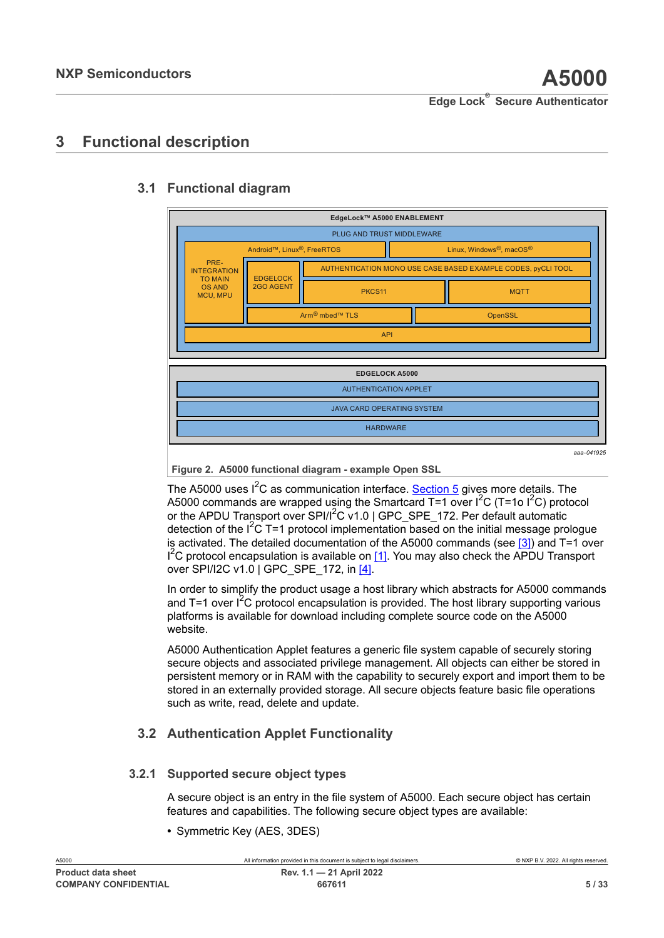# <span id="page-4-1"></span>**3 Functional description**

### <span id="page-4-0"></span>*aaa-041925* **EdgeLock™ A5000 ENABLEMENT EDGELOCK A5000** API PLUG AND TRUST MIDDLEWARE AUTHENTICATION APPLET JAVA CARD OPERATING SYSTEM **HARDWARE** PKCS11 and **II** and MQTT Arm<sup>®</sup> mbed™ TLS **DemSSL** OpenSSL EDGELOCK 2GO AGENT AUTHENTICATION MONO USE CASE BASED EXAMPLE CODES, pyCLI TOOL Android™, Linux<sup>®</sup>, FreeRTOS Linux, Windows<sup>®</sup>, macOS<sup>®</sup> PRE-INTEGRATION TO MAIN OS AND MCU, MPU

# <span id="page-4-2"></span>**3.1 Functional diagram**

**Figure 2. A5000 functional diagram - example Open SSL**

The A5000 uses  $I^2C$  as communication interface. [Section 5](#page-9-0) gives more details. The A5000 commands are wrapped using the Smartcard T=1 over  ${}^{12}C$  (T=1o  ${}^{12}C$ ) protocol or the APDU Transport over SPI/I<sup>2</sup>C v1.0 | GPC\_SPE\_172. Per default automatic detection of the  $I^2C$  T=1 protocol implementation based on the initial message prologue is activated. The detailed documentation of the A5000 commands (see  $[3]$ ) and T=1 over  $I^2C$  protocol encapsulation is available on [\[1\].](#page-26-0) You may also check the APDU Transport over SPI/I2C v1.0 | GPC SPE 172, in [\[4\]](#page-26-1).

In order to simplify the product usage a host library which abstracts for A5000 commands and T=1 over  $I^2C$  protocol encapsulation is provided. The host library supporting various platforms is available for download including complete source code on the A5000 website.

A5000 Authentication Applet features a generic file system capable of securely storing secure objects and associated privilege management. All objects can either be stored in persistent memory or in RAM with the capability to securely export and import them to be stored in an externally provided storage. All secure objects feature basic file operations such as write, read, delete and update.

# <span id="page-4-3"></span>**3.2 Authentication Applet Functionality**

## **3.2.1 Supported secure object types**

<span id="page-4-4"></span>A secure object is an entry in the file system of A5000. Each secure object has certain features and capabilities. The following secure object types are available:

**•** Symmetric Key (AES, 3DES)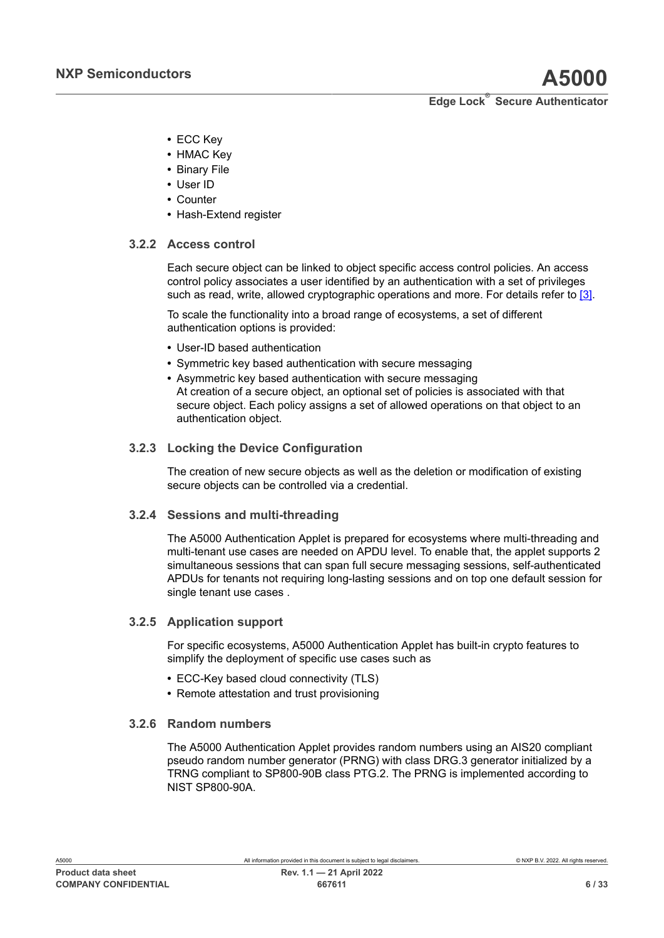- **•** ECC Key
- **•** HMAC Key
- **•** Binary File
- **•** User ID
- **•** Counter
- <span id="page-5-0"></span>**•** Hash-Extend register

## **3.2.2 Access control**

Each secure object can be linked to object specific access control policies. An access control policy associates a user identified by an authentication with a set of privileges such as read, write, allowed cryptographic operations and more. For details refer to [\[3\]](#page-26-2).

To scale the functionality into a broad range of ecosystems, a set of different authentication options is provided:

- **•** User-ID based authentication
- **•** Symmetric key based authentication with secure messaging
- **•** Asymmetric key based authentication with secure messaging At creation of a secure object, an optional set of policies is associated with that secure object. Each policy assigns a set of allowed operations on that object to an authentication object.

## **3.2.3 Locking the Device Configuration**

<span id="page-5-1"></span>The creation of new secure objects as well as the deletion or modification of existing secure objects can be controlled via a credential.

### **3.2.4 Sessions and multi-threading**

<span id="page-5-2"></span>The A5000 Authentication Applet is prepared for ecosystems where multi-threading and multi-tenant use cases are needed on APDU level. To enable that, the applet supports 2 simultaneous sessions that can span full secure messaging sessions, self-authenticated APDUs for tenants not requiring long-lasting sessions and on top one default session for single tenant use cases .

### **3.2.5 Application support**

<span id="page-5-3"></span>For specific ecosystems, A5000 Authentication Applet has built-in crypto features to simplify the deployment of specific use cases such as

- **•** ECC-Key based cloud connectivity (TLS)
- <span id="page-5-4"></span>**•** Remote attestation and trust provisioning

### **3.2.6 Random numbers**

The A5000 Authentication Applet provides random numbers using an AIS20 compliant pseudo random number generator (PRNG) with class DRG.3 generator initialized by a TRNG compliant to SP800-90B class PTG.2. The PRNG is implemented according to NIST SP800-90A.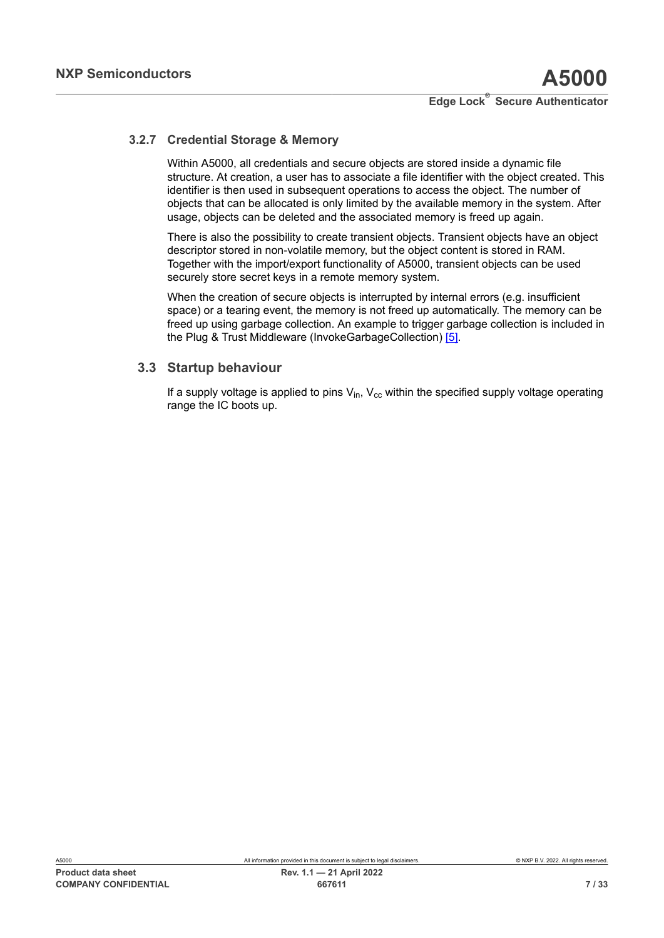## **3.2.7 Credential Storage & Memory**

<span id="page-6-0"></span>Within A5000, all credentials and secure objects are stored inside a dynamic file structure. At creation, a user has to associate a file identifier with the object created. This identifier is then used in subsequent operations to access the object. The number of objects that can be allocated is only limited by the available memory in the system. After usage, objects can be deleted and the associated memory is freed up again.

There is also the possibility to create transient objects. Transient objects have an object descriptor stored in non-volatile memory, but the object content is stored in RAM. Together with the import/export functionality of A5000, transient objects can be used securely store secret keys in a remote memory system.

When the creation of secure objects is interrupted by internal errors (e.g. insufficient space) or a tearing event, the memory is not freed up automatically. The memory can be freed up using garbage collection. An example to trigger garbage collection is included in the Plug & Trust Middleware (InvokeGarbageCollection) [\[5\].](#page-26-3)

## **3.3 Startup behaviour**

<span id="page-6-1"></span>If a supply voltage is applied to pins  $V_{in}$ ,  $V_{cc}$  within the specified supply voltage operating range the IC boots up.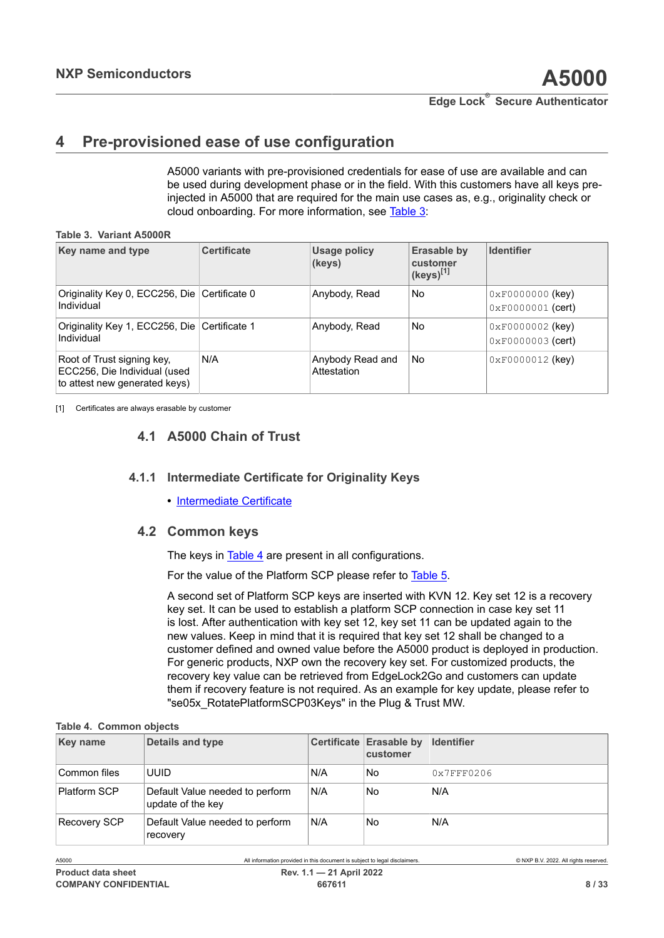# <span id="page-7-3"></span><span id="page-7-1"></span>**4 Pre-provisioned ease of use configuration**

<span id="page-7-0"></span>A5000 variants with pre-provisioned credentials for ease of use are available and can be used during development phase or in the field. With this customers have all keys preinjected in A5000 that are required for the main use cases as, e.g., originality check or cloud onboarding. For more information, see [Table](#page-7-0) 3:

**Table 3. Variant A5000R**

| Key name and type                                                                           | <b>Certificate</b> | Usage policy<br>(keys)          | Erasable by<br>customer<br>(keys) <sup>[1]</sup> | <b>Identifier</b>                                        |
|---------------------------------------------------------------------------------------------|--------------------|---------------------------------|--------------------------------------------------|----------------------------------------------------------|
| Originality Key 0, ECC256, Die Certificate 0<br>Individual                                  |                    | Anybody, Read                   | No                                               | $0 \times F00000000$ (key)<br>$0 \times F0000001$ (cert) |
| Originality Key 1, ECC256, Die Certificate 1<br>Individual                                  |                    | Anybody, Read                   | No                                               | $0 \times F00000002$ (key)<br>$0 \times F0000003$ (cert) |
| Root of Trust signing key,<br>ECC256, Die Individual (used<br>to attest new generated keys) | N/A                | Anybody Read and<br>Attestation | No                                               | $0xF0000012$ (key)                                       |

[1] Certificates are always erasable by customer

# <span id="page-7-4"></span>**4.1 A5000 Chain of Trust**

## **4.1.1 Intermediate Certificate for Originality Keys**

<span id="page-7-6"></span><span id="page-7-5"></span>**•** [Intermediate Certificate](https://www.gp-ca.nxp.com/CA/getCA?caid=63709315060011)

## **4.2 Common keys**

The keys in [Table](#page-7-2) 4 are present in all configurations.

For the value of the Platform SCP please refer to [Table](#page-8-0) 5.

A second set of Platform SCP keys are inserted with KVN 12. Key set 12 is a recovery key set. It can be used to establish a platform SCP connection in case key set 11 is lost. After authentication with key set 12, key set 11 can be updated again to the new values. Keep in mind that it is required that key set 12 shall be changed to a customer defined and owned value before the A5000 product is deployed in production. For generic products, NXP own the recovery key set. For customized products, the recovery key value can be retrieved from EdgeLock2Go and customers can update them if recovery feature is not required. As an example for key update, please refer to "se05x\_RotatePlatformSCP03Keys" in the Plug & Trust MW.

#### <span id="page-7-2"></span>**Table 4. Common objects**

| <b>Key name</b> | Details and type                                     |     | Certificate Erasable by<br>customer | <b>Identifier</b> |
|-----------------|------------------------------------------------------|-----|-------------------------------------|-------------------|
| ⊺Common files   | uuid                                                 | N/A | No                                  | 0x7FFF0206        |
| Platform SCP    | Default Value needed to perform<br>update of the key | N/A | No                                  | N/A               |
| Recovery SCP    | Default Value needed to perform<br>recovery          | N/A | No                                  | N/A               |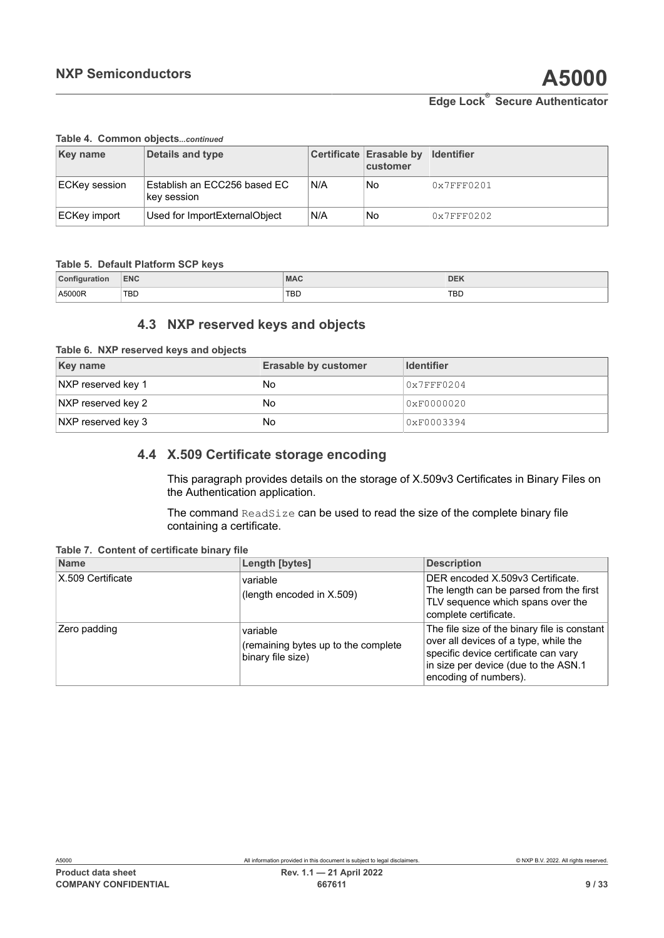#### **Table 4. Common objects***...continued*

| <b>Key name</b>     | Details and type                            |     | Certificate Erasable by Identifier<br>customer |            |
|---------------------|---------------------------------------------|-----|------------------------------------------------|------------|
| ECKey session       | Establish an ECC256 based EC<br>key session | N/A | No                                             | 0x7FFF0201 |
| <b>ECKey import</b> | Used for ImportExternalObject               | N/A | No                                             | 0x7FFF0202 |

#### **Table 5. Default Platform SCP keys**

| Configuration | <b>ENC</b> | <b>MAC</b> | <b>DEK</b> |
|---------------|------------|------------|------------|
| A5000R        | <b>TBD</b> | <b>TBD</b> | <b>TBD</b> |

## <span id="page-8-4"></span><span id="page-8-2"></span><span id="page-8-0"></span>**4.3 NXP reserved keys and objects**

|  |  | Table 6. NXP reserved keys and objects |  |  |  |  |
|--|--|----------------------------------------|--|--|--|--|
|--|--|----------------------------------------|--|--|--|--|

| Key name           | <b>Erasable by customer</b> | <b>Identifier</b> |
|--------------------|-----------------------------|-------------------|
| NXP reserved key 1 | No                          | 0x7FFF0204        |
| NXP reserved key 2 | <b>No</b>                   | 0xF0000020        |
| NXP reserved key 3 | No                          | 0xF0003394        |

## **4.4 X.509 Certificate storage encoding**

<span id="page-8-1"></span>This paragraph provides details on the storage of X.509v3 Certificates in Binary Files on the Authentication application.

<span id="page-8-3"></span>The command ReadSize can be used to read the size of the complete binary file containing a certificate.

**Table 7. Content of certificate binary file**

| <b>Name</b>       | Length [bytes]                                                       | <b>Description</b>                                                                                                                                                                             |
|-------------------|----------------------------------------------------------------------|------------------------------------------------------------------------------------------------------------------------------------------------------------------------------------------------|
| X.509 Certificate | variable<br>(length encoded in $X.509$ )                             | DER encoded X.509v3 Certificate.<br>The length can be parsed from the first<br>TLV sequence which spans over the<br>complete certificate.                                                      |
| Zero padding      | variable<br>(remaining bytes up to the complete<br>binary file size) | The file size of the binary file is constant<br>over all devices of a type, while the<br>specific device certificate can vary<br>in size per device (due to the ASN.1<br>encoding of numbers). |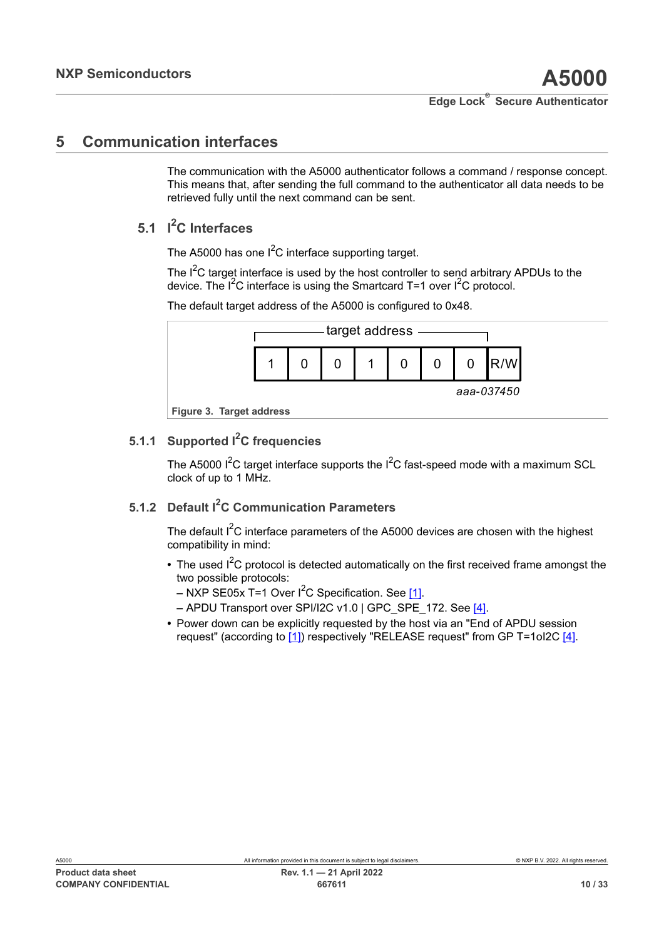# <span id="page-9-0"></span>**5 Communication interfaces**

The communication with the A5000 authenticator follows a command / response concept. This means that, after sending the full command to the authenticator all data needs to be retrieved fully until the next command can be sent.

# **5.1 I <sup>2</sup>C Interfaces**

<span id="page-9-2"></span>The A5000 has one  $I^2C$  interface supporting target.

The I<sup>2</sup>C target interface is used by the host controller to send arbitrary APDUs to the device. The  $I^2C$  interface is using the Smartcard T=1 over  $I^2C$  protocol.

The default target address of the A5000 is configured to 0x48.

<span id="page-9-1"></span>

# **5.1.1 Supported I2C frequencies**

<span id="page-9-3"></span>The A5000  $I^2C$  target interface supports the  $I^2C$  fast-speed mode with a maximum SCL clock of up to 1 MHz.

# **5.1.2 Default I2C Communication Parameters**

<span id="page-9-4"></span>The default  $I^2C$  interface parameters of the A5000 devices are chosen with the highest compatibility in mind:

- The used I<sup>2</sup>C protocol is detected automatically on the first received frame amongst the two possible protocols:
	- **–** NXP SE05x T=1 Over I2C Specification. See [\[1\].](#page-26-0)
	- **–** APDU Transport over SPI/I2C v1.0 | GPC\_SPE\_172. See [\[4\].](#page-26-1)
- **•** Power down can be explicitly requested by the host via an "End of APDU session request" (according to [\[1\]\)](#page-26-0) respectively "RELEASE request" from GP T=1oI2C [\[4\].](#page-26-1)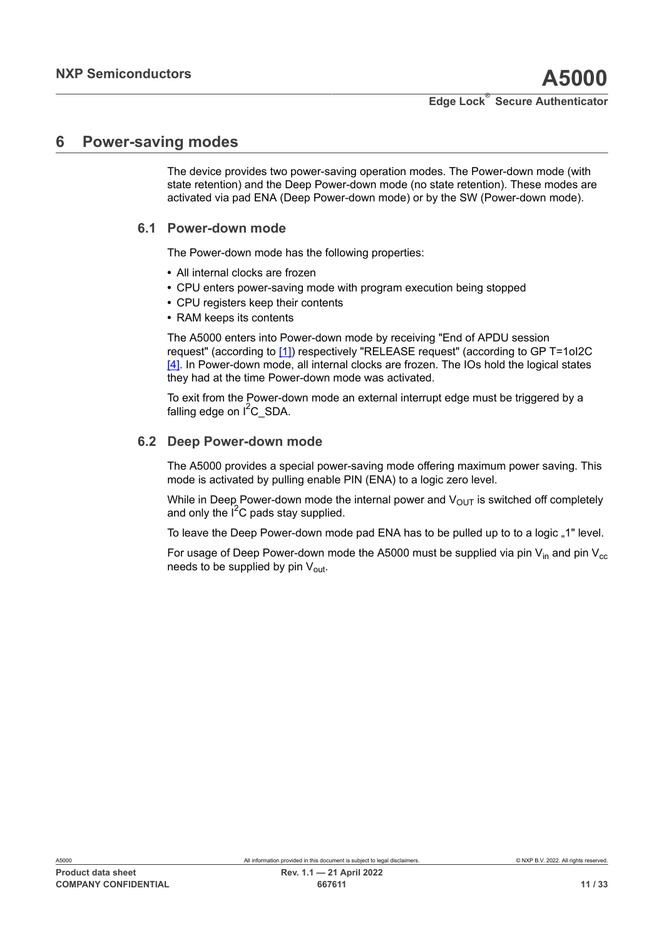## <span id="page-10-0"></span>**6 Power-saving modes**

The device provides two power-saving operation modes. The Power-down mode (with state retention) and the Deep Power-down mode (no state retention). These modes are activated via pad ENA (Deep Power-down mode) or by the SW (Power-down mode).

## **6.1 Power-down mode**

<span id="page-10-1"></span>The Power-down mode has the following properties:

- **•** All internal clocks are frozen
- **•** CPU enters power-saving mode with program execution being stopped
- **•** CPU registers keep their contents
- **•** RAM keeps its contents

The A5000 enters into Power-down mode by receiving "End of APDU session request" (according to [\[1\]](#page-26-0)) respectively "RELEASE request" (according to GP T=1oI2C [\[4\]](#page-26-1). In Power-down mode, all internal clocks are frozen. The IOs hold the logical states they had at the time Power-down mode was activated.

To exit from the Power-down mode an external interrupt edge must be triggered by a falling edge on  $I^2C$  SDA.

## **6.2 Deep Power-down mode**

<span id="page-10-2"></span>The A5000 provides a special power-saving mode offering maximum power saving. This mode is activated by pulling enable PIN (ENA) to a logic zero level.

While in Deep Power-down mode the internal power and  $V_{OUT}$  is switched off completely and only the  $I^2C$  pads stay supplied.

To leave the Deep Power-down mode pad ENA has to be pulled up to to a logic "1" level.

For usage of Deep Power-down mode the A5000 must be supplied via pin  $V_{in}$  and pin  $V_{cc}$ needs to be supplied by pin  $V_{\text{out}}$ .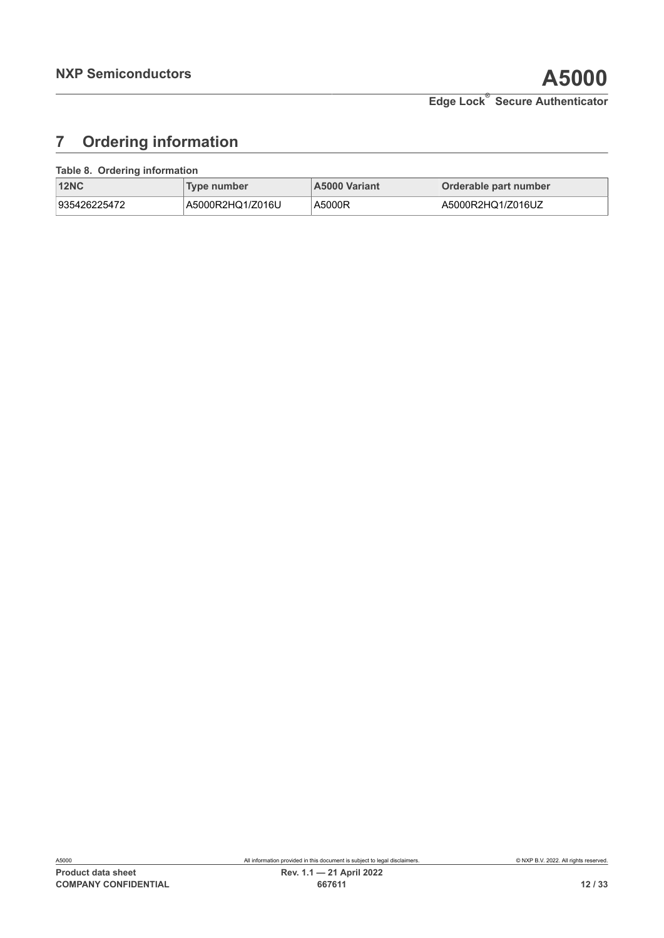# <span id="page-11-1"></span>**7 Ordering information**

#### **Table 8. Ordering information**

<span id="page-11-0"></span>

| <b>12NC</b>  | Type number      | <b>A5000 Variant</b> | Orderable part number |
|--------------|------------------|----------------------|-----------------------|
| 935426225472 | A5000R2HQ1/Z016U | A5000R               | A5000R2HQ1/Z016UZ     |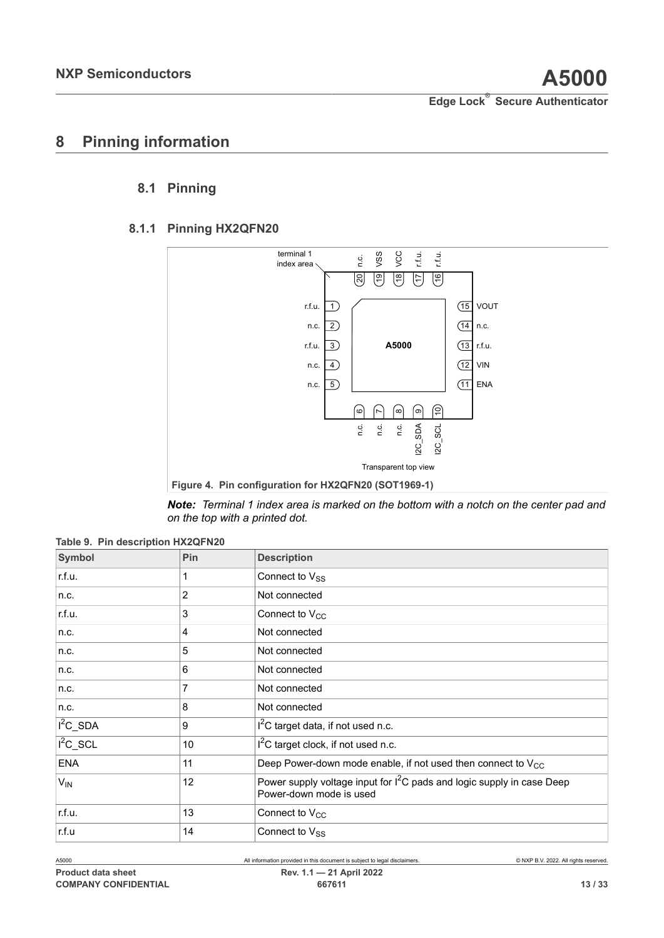# <span id="page-12-2"></span>**8 Pinning information**

## <span id="page-12-3"></span>**8.1 Pinning**

## **8.1.1 Pinning HX2QFN20**

<span id="page-12-4"></span><span id="page-12-1"></span>

<span id="page-12-0"></span>*Note: Terminal 1 index area is marked on the bottom with a notch on the center pad and on the top with a printed dot.*

| Symbol      | Pin            | <b>Description</b>                                                                                  |
|-------------|----------------|-----------------------------------------------------------------------------------------------------|
| r.f.u.      |                | Connect to $V_{SS}$                                                                                 |
| n.c.        | $\overline{2}$ | Not connected                                                                                       |
| r.f.u.      | 3              | Connect to $V_{CC}$                                                                                 |
| n.c.        | 4              | Not connected                                                                                       |
| n.c.        | 5              | Not connected                                                                                       |
| n.c.        | 6              | Not connected                                                                                       |
| n.c.        | 7              | Not connected                                                                                       |
| n.c.        | 8              | Not connected                                                                                       |
| $I^2C$ _SDA | 9              | I <sup>2</sup> C target data, if not used n.c.                                                      |
| $I^2C$ _SCL | 10             | $I2C$ target clock, if not used n.c.                                                                |
| <b>ENA</b>  | 11             | Deep Power-down mode enable, if not used then connect to $V_{CC}$                                   |
| $V_{IN}$    | 12             | Power supply voltage input for $I^2C$ pads and logic supply in case Deep<br>Power-down mode is used |
| r.f.u.      | 13             | Connect to V <sub>CC</sub>                                                                          |
| r.f.u       | 14             | Connect to V <sub>SS</sub>                                                                          |

**Table 9. Pin description HX2QFN20**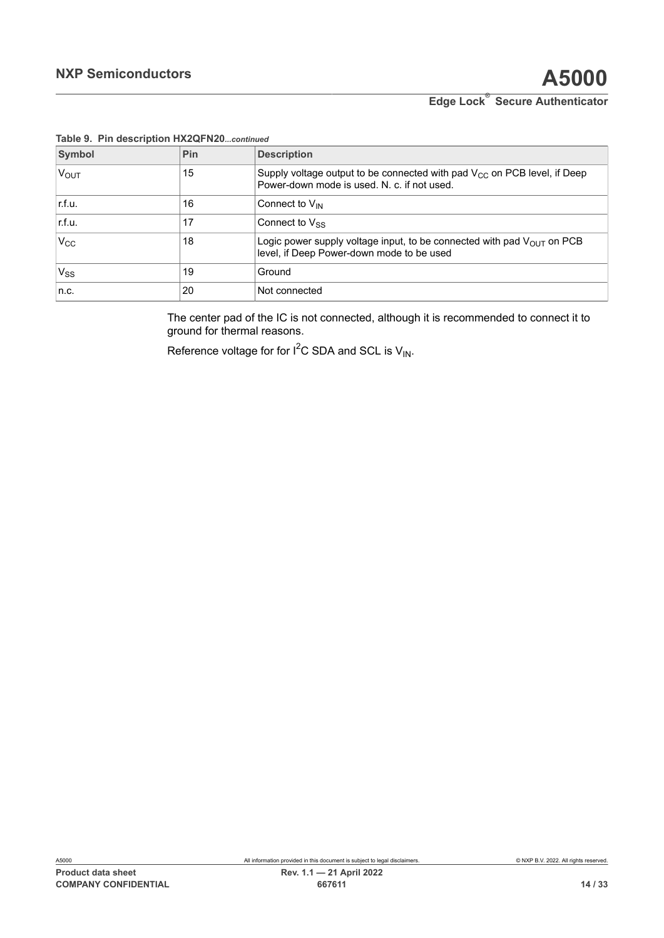| Symbol           | Pin | <b>Description</b>                                                                                                           |
|------------------|-----|------------------------------------------------------------------------------------------------------------------------------|
| $V_{\text{OUT}}$ | 15  | Supply voltage output to be connected with pad $V_{CC}$ on PCB level, if Deep<br>Power-down mode is used. N. c. if not used. |
| r.f.u.           | 16  | Connect to V <sub>IN</sub>                                                                                                   |
| r.f.u.           | 17  | Connect to $V_{SS}$                                                                                                          |
| $V_{\rm CC}$     | 18  | Logic power supply voltage input, to be connected with pad $V_{OUT}$ on PCB<br>level, if Deep Power-down mode to be used     |
| $V_{SS}$         | 19  | Ground                                                                                                                       |
| n.c.             | 20  | Not connected                                                                                                                |

## **Table 9. Pin description HX2QFN20***...continued*

The center pad of the IC is not connected, although it is recommended to connect it to ground for thermal reasons.

Reference voltage for for  $I^2C$  SDA and SCL is  $V_{IN}$ .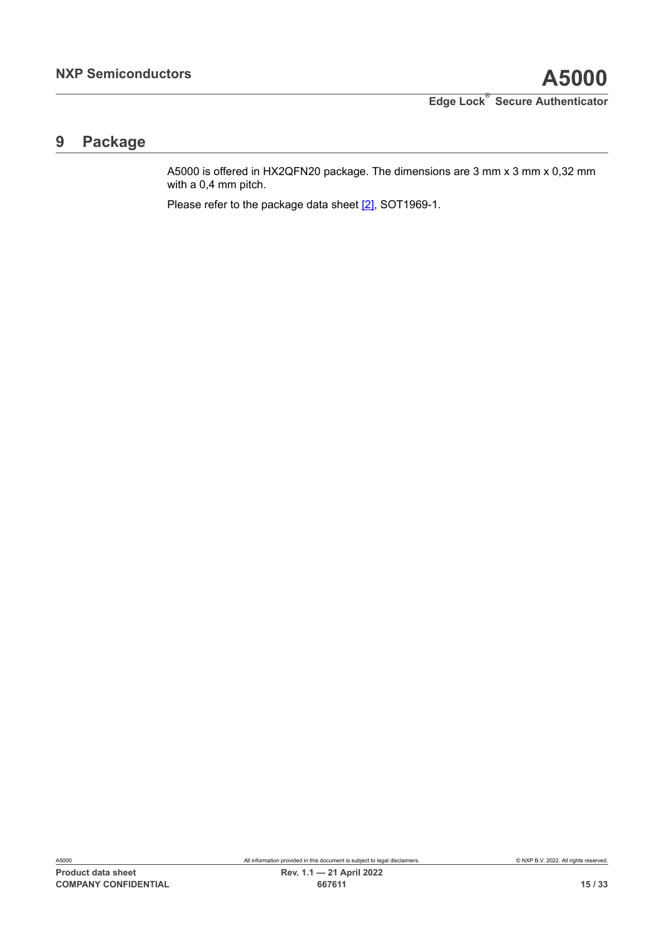# <span id="page-14-0"></span>**9 Package**

A5000 is offered in HX2QFN20 package. The dimensions are 3 mm x 3 mm x 0,32 mm with a 0,4 mm pitch.

Please refer to the package data sheet [\[2\],](#page-26-4) SOT1969-1.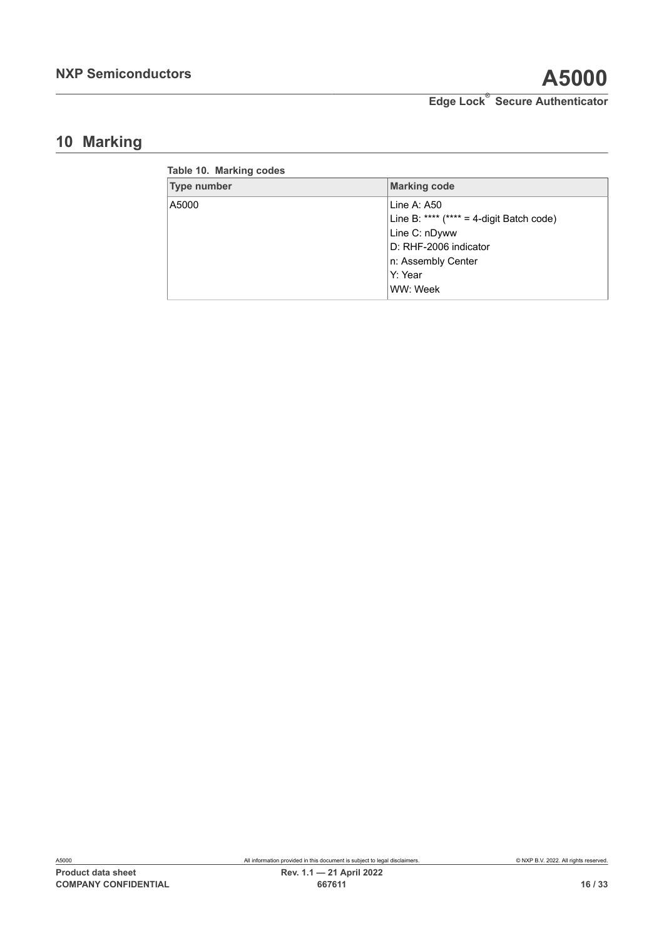# <span id="page-15-1"></span>**10 Marking**

<span id="page-15-0"></span>

| Table 10. Marking codes |                                             |
|-------------------------|---------------------------------------------|
| <b>Type number</b>      | <b>Marking code</b>                         |
| A5000                   | Line A: $A50$                               |
|                         | Line B: **** $(**** = 4$ -digit Batch code) |
|                         | Line C: nDyww                               |
|                         | D: RHF-2006 indicator                       |
|                         | n: Assembly Center                          |
|                         | Y: Year                                     |
|                         | WW: Week                                    |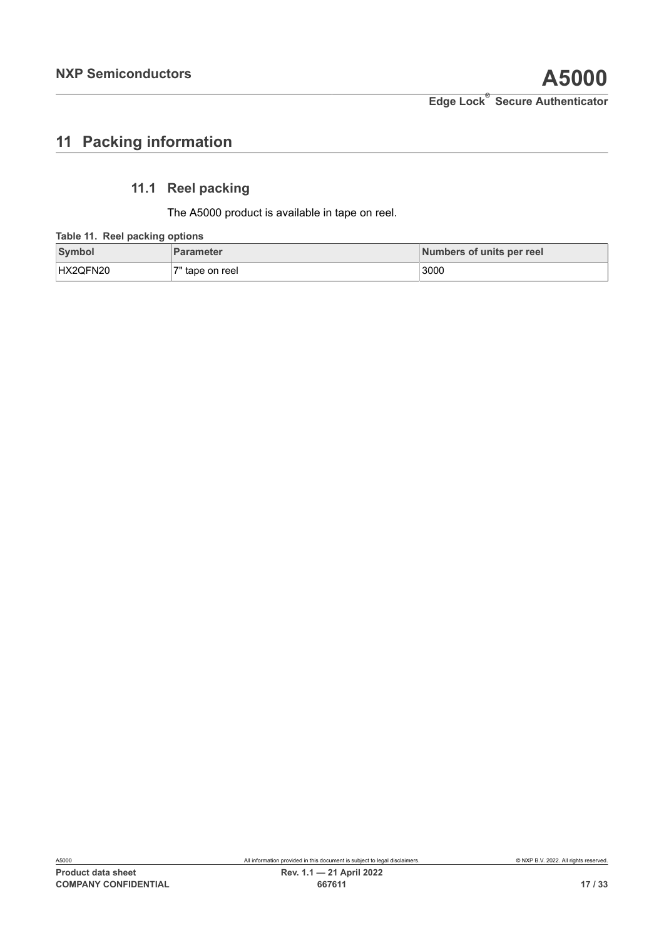# <span id="page-16-1"></span>**11 Packing information**

# **11.1 Reel packing**

<span id="page-16-2"></span><span id="page-16-0"></span>The A5000 product is available in tape on reel.

#### **Table 11. Reel packing options**

| <b>Symbol</b> | <b>Parameter</b> | Numbers of units per reel |
|---------------|------------------|---------------------------|
| HX2QFN20      | 7" tape on reel  | 3000                      |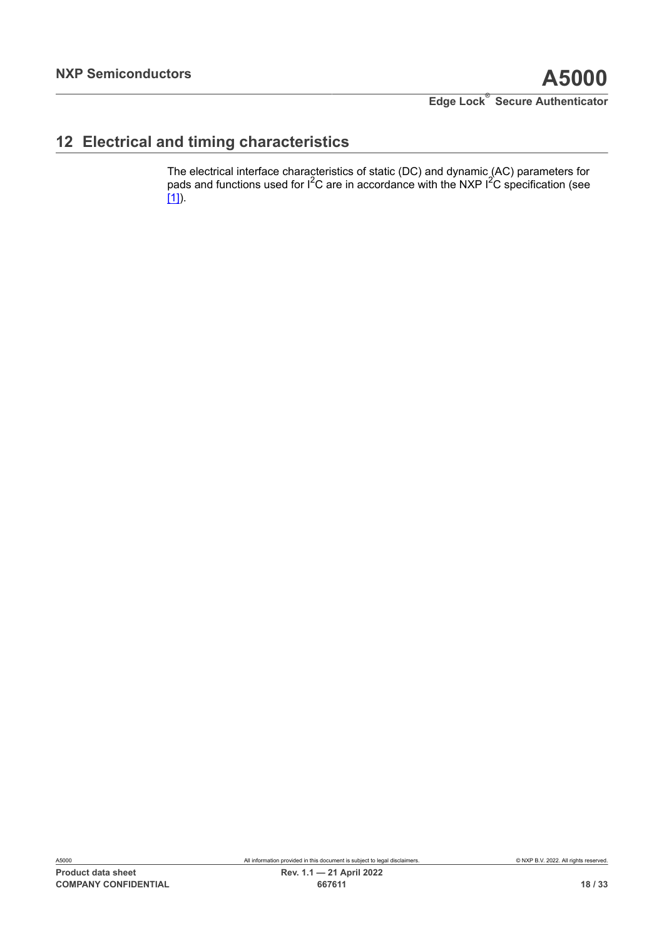# <span id="page-17-0"></span>**12 Electrical and timing characteristics**

The electrical interface characteristics of static (DC) and dynamic (AC) parameters for pads and functions used for  $I^2C$  are in accordance with the NXP  $I^2C$  specification (see [\[1\]](#page-26-0)).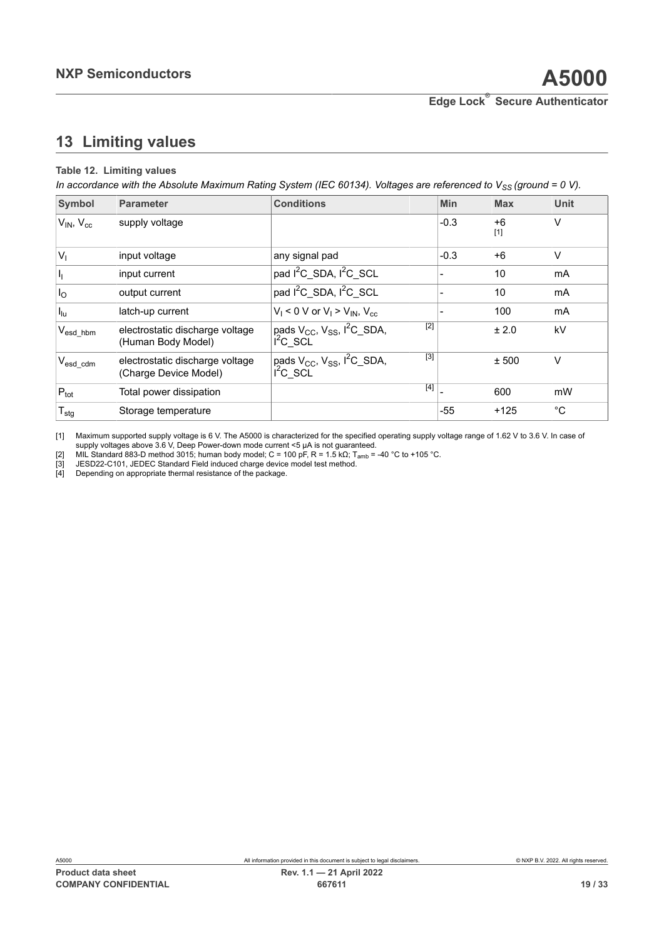# <span id="page-18-5"></span><span id="page-18-0"></span>**13 Limiting values**

#### <span id="page-18-4"></span><span id="page-18-3"></span><span id="page-18-2"></span><span id="page-18-1"></span>**Table 12. Limiting values**

In accordance with the Absolute Maximum Rating System (IEC 60134). Voltages are referenced to  $V_{SS}$  (ground = 0 V).

| Symbol                     | <b>Parameter</b>                                         | <b>Conditions</b>                                                                      |       | Min    | <b>Max</b>    | <b>Unit</b> |
|----------------------------|----------------------------------------------------------|----------------------------------------------------------------------------------------|-------|--------|---------------|-------------|
| $V_{IN}$ , $V_{cc}$        | supply voltage                                           |                                                                                        |       | $-0.3$ | $+6$<br>$[1]$ | V           |
| $V_1$                      | input voltage                                            | any signal pad                                                                         |       | $-0.3$ | $+6$          | $\vee$      |
| $\mathsf{I}_1$             | input current                                            | pad I <sup>2</sup> C_SDA, I <sup>2</sup> C_SCL                                         |       |        | 10            | <b>mA</b>   |
| $I_{\rm O}$                | output current                                           | pad I <sup>2</sup> C SDA, I <sup>2</sup> C SCL                                         |       |        | 10            | mA          |
| $\mathsf{I}_{\mathsf{lu}}$ | latch-up current                                         | $V_i$ < 0 V or $V_i$ > $V_{IN}$ , $V_{cc}$                                             |       |        | 100           | mA          |
| $\rm V_{esd\_hbm}$         | electrostatic discharge voltage<br>(Human Body Model)    | pads V <sub>CC</sub> , V <sub>SS</sub> , I <sup>2</sup> C_SDA,<br>$i^2$ C SCL          | $[2]$ |        | ± 2.0         | kV          |
| $V_{\sf esd\_cdm}$         | electrostatic discharge voltage<br>(Charge Device Model) | pads V <sub>CC</sub> , V <sub>SS</sub> , I <sup>2</sup> C_SDA,<br>i <sup>2</sup> c scL | $[3]$ |        | ± 500         | $\vee$      |
| $P_{\text{tot}}$           | Total power dissipation                                  |                                                                                        | $[4]$ |        | 600           | mW          |
| $T_{\text{stg}}$           | Storage temperature                                      |                                                                                        |       | $-55$  | $+125$        | °C          |

[1] Maximum supported supply voltage is 6 V. The A5000 is characterized for the specified operating supply voltage range of 1.62 V to 3.6 V. In case of supply voltages above 3.6 V, Deep Power-down mode current <5 µA is not guaranteed.

[2] MIL Standard 883-D method 3015; human body model; C = 100 pF, R = 1.5 kΩ; T<sub>amb</sub> = -40 °C to +105 °C.<br>[3] JESD22-C101, JEDEC Standard Field induced charge device model test method.

[4] Depending on appropriate thermal resistance of the package.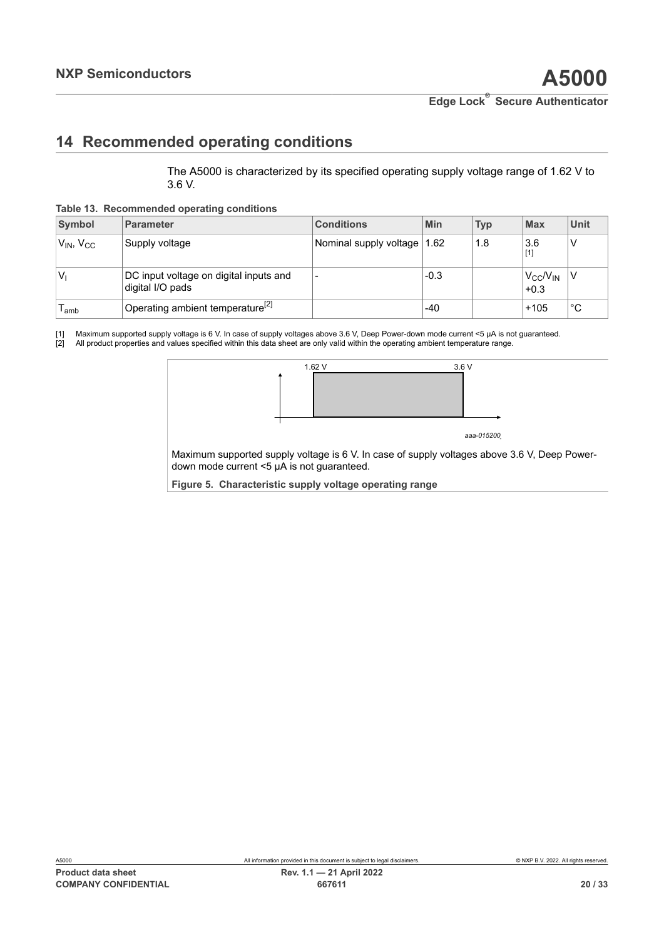# <span id="page-19-4"></span><span id="page-19-1"></span><span id="page-19-0"></span>**14 Recommended operating conditions**

<span id="page-19-2"></span>The A5000 is characterized by its specified operating supply voltage range of 1.62 V to 3.6 V.

**Table 13. Recommended operating conditions**

| <b>Symbol</b>       | <b>Parameter</b>                                           | <b>Conditions</b>           | Min    | <b>Typ</b> | <b>Max</b>                    | Unit |
|---------------------|------------------------------------------------------------|-----------------------------|--------|------------|-------------------------------|------|
| $V_{IN}$ , $V_{CC}$ | Supply voltage                                             | Nominal supply voltage 1.62 |        | 1.8        | 3.6<br>$[1]$                  | ν    |
| V                   | DC input voltage on digital inputs and<br>digital I/O pads | $\overline{\phantom{0}}$    | $-0.3$ |            | $V_{CC}$ / $V_{IN}$<br>$+0.3$ |      |
| l amb               | Operating ambient temperature <sup>[2]</sup>               |                             | $-40$  |            | $+105$                        | °C   |

[1] Maximum supported supply voltage is 6 V. In case of supply voltages above 3.6 V, Deep Power-down mode current <5 µA is not guaranteed.<br>[2] All product properties and values specified within this data sheet are only val [2] All product properties and values specified within this data sheet are only valid within the operating ambient temperature range.

<span id="page-19-3"></span>

Maximum supported supply voltage is 6 V. In case of supply voltages above 3.6 V, Deep Powerdown mode current <5 µA is not guaranteed.

**Figure 5. Characteristic supply voltage operating range**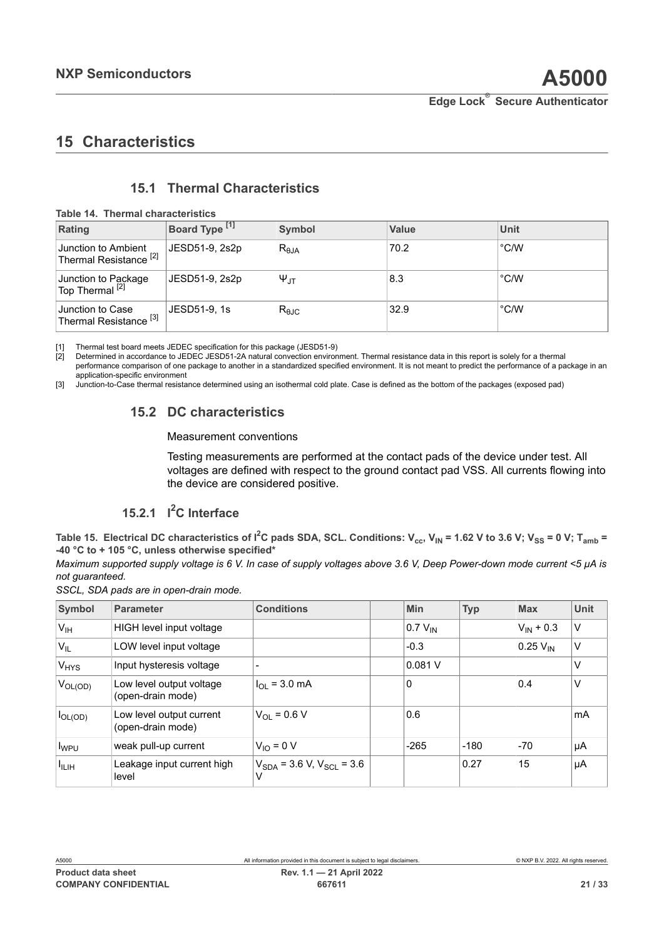# <span id="page-20-5"></span>**15 Characteristics**

# <span id="page-20-6"></span><span id="page-20-3"></span><span id="page-20-2"></span><span id="page-20-1"></span><span id="page-20-0"></span>**15.1 Thermal Characteristics**

**Table 14. Thermal characteristics**

| Rating                                                                | Board Type [1] | <b>Symbol</b>      | <b>Value</b> | Unit          |
|-----------------------------------------------------------------------|----------------|--------------------|--------------|---------------|
| Junction to Ambient<br><sup>l</sup> Thermal Resistance <sup>[2]</sup> | JESD51-9, 2s2p | $R_{\theta$ JA     | 70.2         | $\degree$ C/W |
| Junction to Package<br>Top Thermal <sup>[2]</sup>                     | JESD51-9, 2s2p | $\Psi_{\text{JT}}$ | 8.3          | °C/W          |
| Junction to Case<br><sup>'</sup> Thermal Resistance <sup>[3]</sup>    | JESD51-9, 1s   | $R_{\theta$ JC     | 32.9         | °C/W          |

[1] Thermal test board meets JEDEC specification for this package (JESD51-9)

[2] Determined in accordance to JEDEC JESD51-2A natural convection environment. Thermal resistance data in this report is solely for a thermal performance comparison of one package to another in a standardized specified environment. It is not meant to predict the performance of a package in an application-specific environment

[3] Junction-to-Case thermal resistance determined using an isothermal cold plate. Case is defined as the bottom of the packages (exposed pad)

# **15.2 DC characteristics**

#### <span id="page-20-7"></span>Measurement conventions

Testing measurements are performed at the contact pads of the device under test. All voltages are defined with respect to the ground contact pad VSS. All currents flowing into the device are considered positive.

# <span id="page-20-8"></span><span id="page-20-4"></span>**15.2.1 I <sup>2</sup>C Interface**

Table 15. Electrical DC characteristics of I<sup>2</sup>C pads SDA, SCL. Conditions: V<sub>cc</sub>, V<sub>IN</sub> = 1.62 V to 3.6 V; V<sub>SS</sub> = 0 V; T<sub>amb</sub> = **-40 °C to + 105 °C, unless otherwise specified\***

Maximum supported supply voltage is 6 V. In case of supply voltages above 3.6 V, Deep Power-down mode current <5 µA is *not guaranteed.*

|  |  |  |  |  | SSCL, SDA pads are in open-drain mode. |  |
|--|--|--|--|--|----------------------------------------|--|
|--|--|--|--|--|----------------------------------------|--|

| Symbol                 | <b>Parameter</b>                              | <b>Conditions</b>                  | Min          | <b>Typ</b> | <b>Max</b>           | <b>Unit</b> |
|------------------------|-----------------------------------------------|------------------------------------|--------------|------------|----------------------|-------------|
| V <sub>IH</sub>        | HIGH level input voltage                      |                                    | $0.7 V_{IN}$ |            | $V_{IN}$ + 0.3       | V           |
| 'V <sub>IL</sub>       | LOW level input voltage                       |                                    | $-0.3$       |            | $0.25 V_{\text{IN}}$ | V           |
| <b>V<sub>HYS</sub></b> | Input hysteresis voltage                      |                                    | 0.081V       |            |                      | $\vee$      |
| $V_{OL(OD)}$           | Low level output voltage<br>(open-drain mode) | $I_{\Omega I}$ = 3.0 mA            | $\Omega$     |            | 0.4                  | V           |
| $I_{OL(OD)}$           | Low level output current<br>(open-drain mode) | $V_{\Omega} = 0.6 V$               | 0.6          |            |                      | mA          |
| I <sub>WPU</sub>       | weak pull-up current                          | $V_{10} = 0 V$                     | $-265$       | $-180$     | $-70$                | μA          |
| $I_{ILIH}$             | Leakage input current high<br>level           | $V_{SDA}$ = 3.6 V, $V_{SCL}$ = 3.6 |              | 0.27       | 15                   | μA          |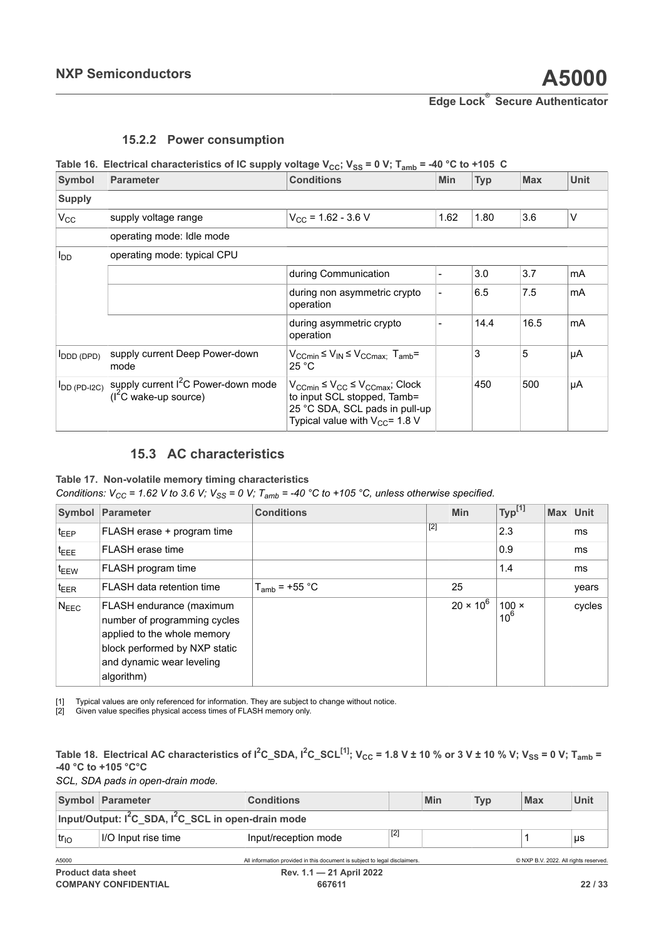## <span id="page-21-5"></span><span id="page-21-2"></span><span id="page-21-1"></span><span id="page-21-0"></span>**15.2.2 Power consumption**

## **Table** 16. Electrical characteristics of IC supply voltage  $V_{CC}$ ;  $V_{SS} = 0$  V;  $T_{amb} = -40$  °C to +105 C

| Symbol            | <b>Parameter</b>                                                          | <b>Conditions</b>                                                                                                                                                           | <b>Min</b> | <b>Typ</b> | <b>Max</b> | <b>Unit</b> |
|-------------------|---------------------------------------------------------------------------|-----------------------------------------------------------------------------------------------------------------------------------------------------------------------------|------------|------------|------------|-------------|
| <b>Supply</b>     |                                                                           |                                                                                                                                                                             |            |            |            |             |
| $V_{CC}$          | supply voltage range                                                      | $V_{CC}$ = 1.62 - 3.6 V                                                                                                                                                     | 1.62       | 1.80       | 3.6        | V           |
|                   | operating mode: Idle mode                                                 |                                                                                                                                                                             |            |            |            |             |
| l <sub>DD</sub>   | operating mode: typical CPU                                               |                                                                                                                                                                             |            |            |            |             |
|                   |                                                                           | during Communication                                                                                                                                                        |            | 3.0        | 3.7        | mA          |
|                   |                                                                           | during non asymmetric crypto<br>operation                                                                                                                                   |            | 6.5        | 7.5        | mA          |
|                   |                                                                           | during asymmetric crypto<br>operation                                                                                                                                       |            | 14.4       | 16.5       | mA          |
| ODD (DPD)         | supply current Deep Power-down<br>mode                                    | $V_{CCmin} \le V_{IN} \le V_{CCmax}$ ; $T_{amb} =$<br>25 °C                                                                                                                 |            | 3          | 5          | μA          |
| $I_{DD}$ (PD-I2C) | supply current I <sup>2</sup> C Power-down mode<br>$(I2C$ wake-up source) | $V_{\text{CCmin}} \leq V_{\text{CC}} \leq V_{\text{CCmax}}$ ; Clock<br>to input SCL stopped, Tamb=<br>25 °C SDA, SCL pads in pull-up<br>Typical value with $V_{CC}$ = 1.8 V |            | 450        | 500        | μA          |

## <span id="page-21-6"></span><span id="page-21-3"></span>**15.3 AC characteristics**

#### **Table 17. Non-volatile memory timing characteristics**

*Conditions:*  $V_{CC}$  = 1.62 V to 3.6 V;  $V_{SS}$  = 0 V;  $T_{amb}$  = -40 °C to +105 °C, unless otherwise specified.

|                  | Symbol Parameter                                                                                                                                                    | <b>Conditions</b>  |       | Min              | Typ <sup>[1]</sup>     | Max Unit |        |
|------------------|---------------------------------------------------------------------------------------------------------------------------------------------------------------------|--------------------|-------|------------------|------------------------|----------|--------|
| $t_{\text{EEP}}$ | FLASH erase + program time                                                                                                                                          |                    | $[2]$ |                  | 2.3                    |          | ms     |
| t <sub>EEE</sub> | FLASH erase time                                                                                                                                                    |                    |       |                  | 0.9                    |          | ms     |
| t <sub>EEW</sub> | FLASH program time                                                                                                                                                  |                    |       |                  | 1.4                    |          | ms     |
| $t_{\text{EER}}$ | FLASH data retention time                                                                                                                                           | $T_{amb}$ = +55 °C |       | 25               |                        |          | years  |
| $N_{\text{EEC}}$ | FLASH endurance (maximum<br>number of programming cycles<br>applied to the whole memory<br>block performed by NXP static<br>and dynamic wear leveling<br>algorithm) |                    |       | $20 \times 10^6$ | $100 \times$<br>$10^6$ |          | cycles |

[1] Typical values are only referenced for information. They are subject to change without notice.<br>[2] Given value specifies physical access times of FLASH memory only.

[2] Given value specifies physical access times of FLASH memory only.

<span id="page-21-4"></span>**Table** 18. Electrical AC characteristics of  $I^2C$ \_SDA,  $I^2C$ \_SCL<sup>[\[1\]](#page-22-1)</sup>; V<sub>CC</sub> = 1.8 V ± 10 % or 3 V ± 10 % V; V<sub>SS</sub> = 0 V; T<sub>amb</sub> = **-40 °C to +105 °C°C**

*SCL, SDA pads in open-drain mode.*

|                                                                             | Symbol Parameter    | <b>Conditions</b>                                                          |       | Min | <b>Typ</b> | <b>Max</b>                            | Unit |  |
|-----------------------------------------------------------------------------|---------------------|----------------------------------------------------------------------------|-------|-----|------------|---------------------------------------|------|--|
| Input/Output: I <sup>2</sup> C_SDA, I <sup>2</sup> C_SCL in open-drain mode |                     |                                                                            |       |     |            |                                       |      |  |
| $tr_{1O}$                                                                   | I/O Input rise time | Input/reception mode                                                       | $[2]$ |     |            |                                       | μs   |  |
| A5000                                                                       |                     | All information provided in this document is subject to legal disclaimers. |       |     |            | © NXP B.V. 2022. All rights reserved. |      |  |
| <b>Product data sheet</b>                                                   |                     | Rev. 1.1 - 21 April 2022                                                   |       |     |            |                                       |      |  |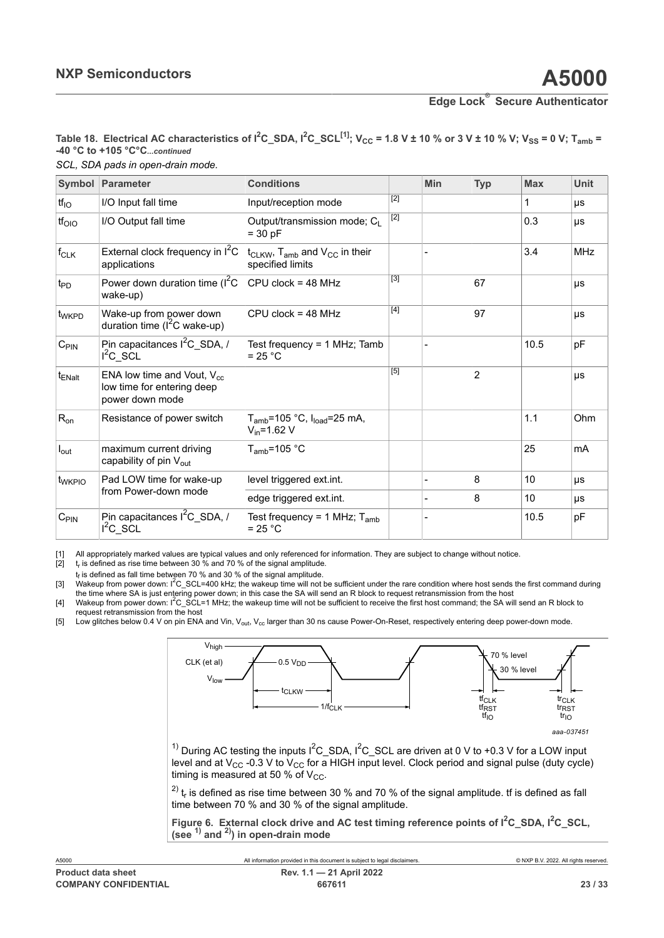<span id="page-22-1"></span><span id="page-22-0"></span>*SCL, SDA pads in open-drain mode.* **Table 18.** Electrical AC characteristics of  $I^2C$ \_SDA,  $I^2C$ \_SCL<sup>[\[1\]](#page-22-1)</sup>; V<sub>CC</sub> = 1.8 V ± 10 % or 3 V ± 10 % V; V<sub>SS</sub> = 0 V; T<sub>amb</sub> = **-40 °C to +105 °C°C***...continued*

<span id="page-22-4"></span><span id="page-22-3"></span><span id="page-22-2"></span>

|                    | Symbol Parameter                                                                 | <b>Conditions</b>                                                |                | Min | <b>Typ</b>     | <b>Max</b> | <b>Unit</b> |
|--------------------|----------------------------------------------------------------------------------|------------------------------------------------------------------|----------------|-----|----------------|------------|-------------|
| tf <sub>IO</sub>   | I/O Input fall time                                                              | Input/reception mode                                             | $[2]$          |     |                | 1          | μs          |
| tf <sub>olo</sub>  | I/O Output fall time                                                             | Output/transmission mode; CL<br>$= 30 pF$                        | $[2]$          |     |                | 0.3        | μs          |
| $f_{CLK}$          | External clock frequency in $I^2C$<br>applications                               | $t_{CLKW}$ , $T_{amb}$ and $V_{CC}$ in their<br>specified limits |                |     |                | 3.4        | <b>MHz</b>  |
| $t_{\text{PD}}$    | Power down duration time $(I^2C)$<br>wake-up)                                    | $CPU$ clock = 48 MHz                                             | $[3]$          |     | 67             |            | μs          |
| t <sub>WKPD</sub>  | Wake-up from power down<br>duration time ( $I^2C$ wake-up)                       | $CPU$ clock = 48 MHz                                             | $[4]$          |     | 97             |            | μs          |
| $C_{PIN}$          | Pin capacitances $I^2C$ SDA, /<br>$I^2C$ SCL                                     | Test frequency = $1$ MHz; Tamb<br>$= 25 °C$                      |                |     |                | 10.5       | pF          |
| t <sub>ENalt</sub> | ENA low time and Vout, $V_{cc}$<br>low time for entering deep<br>power down mode |                                                                  | $\overline{5}$ |     | $\overline{c}$ |            | μs          |
| $R_{on}$           | Resistance of power switch                                                       | $T_{amb}$ =105 °C, $I_{load}$ =25 mA,<br>$V_{in} = 1.62 V$       |                |     |                | 1.1        | Ohm         |
| $I_{\text{out}}$   | maximum current driving<br>capability of pin V <sub>out</sub>                    | $T_{amb}$ =105 °C                                                |                |     |                | 25         | mA          |
| t <sub>WKPIO</sub> | Pad LOW time for wake-up                                                         | level triggered ext.int.                                         |                |     | 8              | 10         | μs          |
|                    | from Power-down mode                                                             | edge triggered ext.int.                                          |                |     | 8              | 10         | μs          |
| $C_{\sf PIN}$      | Pin capacitances $I^2C$ SDA, /<br>$I^2C$ SCL                                     | Test frequency = 1 MHz; $T_{amb}$<br>$= 25 °C$                   |                |     |                | 10.5       | pF          |

[1] All appropriately marked values are typical values and only referenced for information. They are subject to change without notice.

 $[2]$  $t_r$  is defined as rise time between 30 % and 70 % of the signal amplitude.

t<sub>f</sub> is defined as fall time between 70 % and 30 % of the signal amplitude.

[3] Wakeup from power down: I<sup>2</sup>C\_SCL=400 kHz; the wakeup time will not be sufficient under the rare condition where host sends the first command during the time where SA is just entering power down; in this case the SA will send an R block to request retransmission from the host

[4] Wakeup from power down: I<sup>2</sup>C\_SCL=1 MHz; the wakeup time will not be sufficient to receive the first host command; the SA will send an R block to request retransmission from the host

[5] Low glitches below 0.4 V on pin ENA and Vin, V<sub>out</sub>, V<sub>cc</sub> larger than 30 ns cause Power-On-Reset, respectively entering deep power-down mode.

<span id="page-22-5"></span>

level and at V $_{\rm CC}$  -0.3 V to V $_{\rm CC}$  for a HIGH input level. Clock period and signal pulse (duty cycle) timing is measured at 50 % of V $_{\rm CC}$ .

 $^{\text{2)}}$  t<sub>r</sub> is defined as rise time between 30 % and 70 % of the signal amplitude. tf is defined as fall time between 70 % and 30 % of the signal amplitude.

**Figure 6. External clock drive and AC test timing reference points of I2C\_SDA, I2C\_SCL, (see 1) and 2)) in open-drain mode**

| A5000                       | All information provided in this document is subject to legal disclaimers. | © NXP B.V. 2022. All rights reserved. |
|-----------------------------|----------------------------------------------------------------------------|---------------------------------------|
| <b>Product data sheet</b>   | Rev. 1.1 - 21 April 2022                                                   |                                       |
| <b>COMPANY CONFIDENTIAL</b> | 667611                                                                     | 23/33                                 |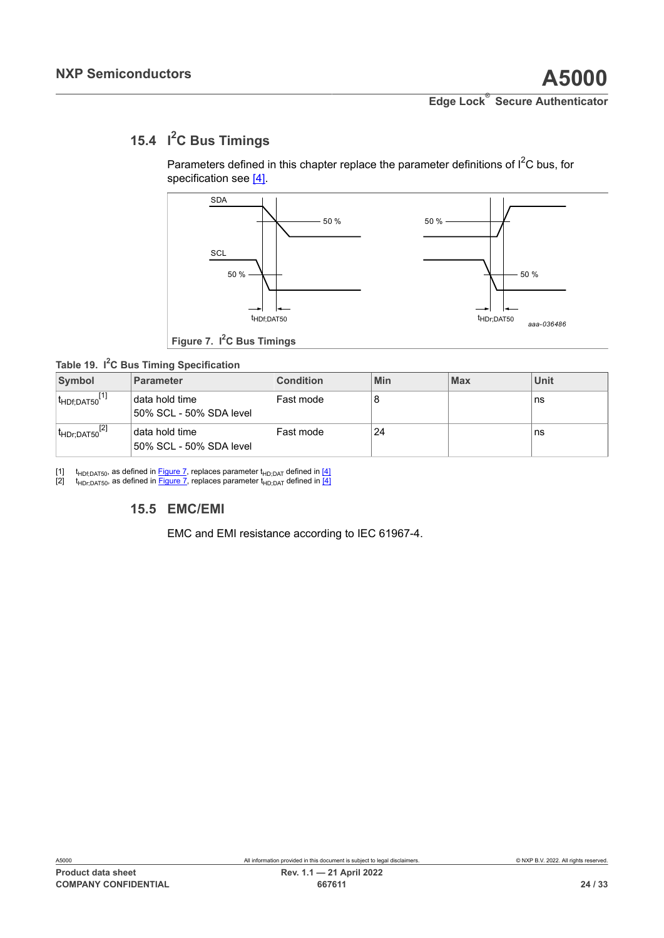# <span id="page-23-1"></span><span id="page-23-0"></span>**15.4 I <sup>2</sup>C Bus Timings**

<span id="page-23-4"></span>Parameters defined in this chapter replace the parameter definitions of  $I^2C$  bus, for specification see [4].

<span id="page-23-2"></span>

<span id="page-23-3"></span>**Figure 7. I2C Bus Timings**

### **Table 19. I <sup>2</sup>C Bus Timing Specification**

| Symbol                       | <b>Parameter</b>                            | <b>Condition</b> | Min | <b>Max</b> | Unit |
|------------------------------|---------------------------------------------|------------------|-----|------------|------|
| <sup>I</sup> HDf:DAT50       | I data hold time<br>50% SCL - 50% SDA level | Fast mode        |     |            | ns   |
| $ t_{\sf HDr; DAT50}^{[2]} $ | data hold time<br>50% SCL - 50% SDA level   | Fast mode        | 24  |            | ns   |

[1] t<sub>HDf;DAT50</sub>, as defined in <u>[Figure 7,](#page-23-2)</u> replaces parameter t<sub>HD;DAT</sub> defined in [<u>4</u>] [2] t<sub>HDr;DAT50</sub>, as defined in <u>Figure 7</u>, replaces parameter t<sub>HD;DAT</sub> defined in <u>[4]</u>

# **15.5 EMC/EMI**

<span id="page-23-5"></span>EMC and EMI resistance according to IEC 61967-4.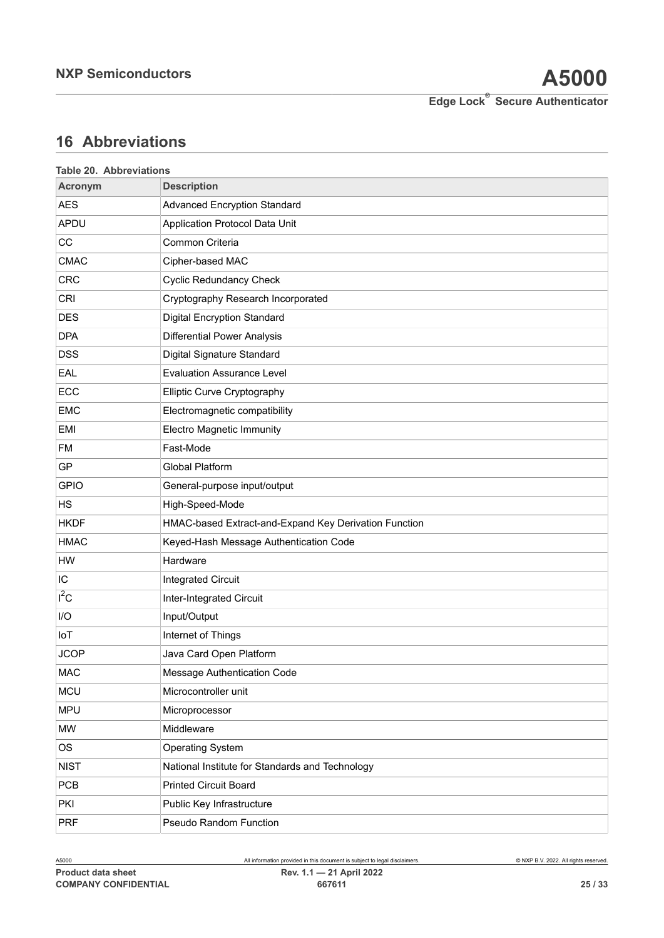# <span id="page-24-1"></span>**16 Abbreviations**

<span id="page-24-0"></span>

| Table 20. Abbreviations |                                                       |
|-------------------------|-------------------------------------------------------|
| <b>Acronym</b>          | <b>Description</b>                                    |
| <b>AES</b>              | <b>Advanced Encryption Standard</b>                   |
| APDU                    | Application Protocol Data Unit                        |
| CC                      | Common Criteria                                       |
| <b>CMAC</b>             | Cipher-based MAC                                      |
| <b>CRC</b>              | <b>Cyclic Redundancy Check</b>                        |
| CRI                     | Cryptography Research Incorporated                    |
| <b>DES</b>              | <b>Digital Encryption Standard</b>                    |
| <b>DPA</b>              | <b>Differential Power Analysis</b>                    |
| <b>DSS</b>              | Digital Signature Standard                            |
| EAL                     | <b>Evaluation Assurance Level</b>                     |
| ECC                     | Elliptic Curve Cryptography                           |
| <b>EMC</b>              | Electromagnetic compatibility                         |
| <b>EMI</b>              | <b>Electro Magnetic Immunity</b>                      |
| <b>FM</b>               | Fast-Mode                                             |
| GP                      | <b>Global Platform</b>                                |
| <b>GPIO</b>             | General-purpose input/output                          |
| HS                      | High-Speed-Mode                                       |
| <b>HKDF</b>             | HMAC-based Extract-and-Expand Key Derivation Function |
| <b>HMAC</b>             | Keyed-Hash Message Authentication Code                |
| HW                      | Hardware                                              |
| IC                      | <b>Integrated Circuit</b>                             |
| $I^2C$                  | Inter-Integrated Circuit                              |
| I/O                     | Input/Output                                          |
| IoT                     | Internet of Things                                    |
| <b>JCOP</b>             | Java Card Open Platform                               |
| <b>MAC</b>              | Message Authentication Code                           |
| <b>MCU</b>              | Microcontroller unit                                  |
| <b>MPU</b>              | Microprocessor                                        |
| MW                      | Middleware                                            |
| <b>OS</b>               | <b>Operating System</b>                               |
| <b>NIST</b>             | National Institute for Standards and Technology       |
| <b>PCB</b>              | <b>Printed Circuit Board</b>                          |
| PKI                     | Public Key Infrastructure                             |
| <b>PRF</b>              | Pseudo Random Function                                |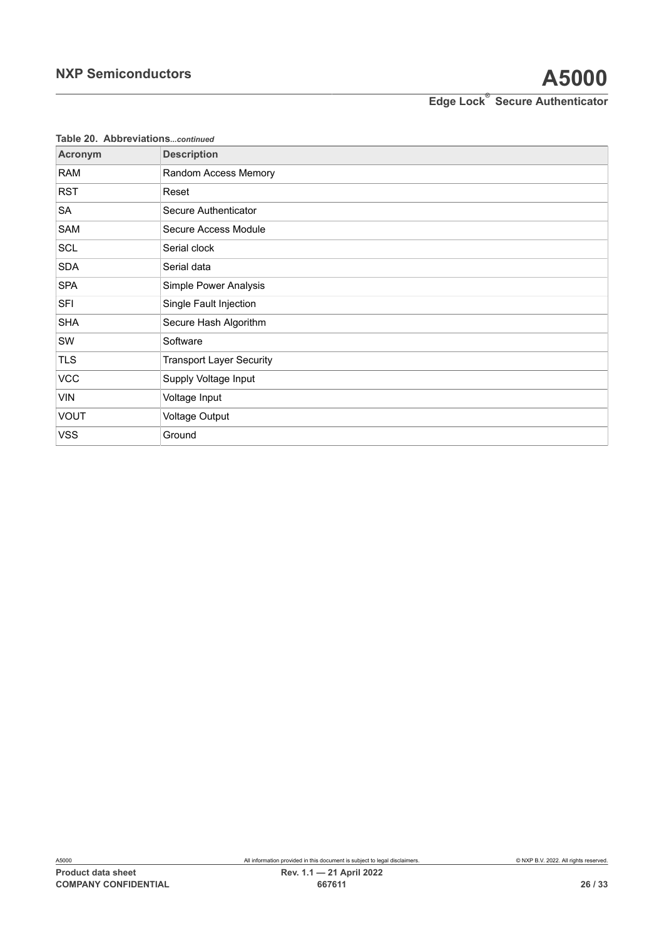| Table 20. Abbreviationscontinued |                                 |
|----------------------------------|---------------------------------|
| Acronym                          | <b>Description</b>              |
| <b>RAM</b>                       | Random Access Memory            |
| <b>RST</b>                       | Reset                           |
| SA                               | Secure Authenticator            |
| SAM                              | Secure Access Module            |
| <b>SCL</b>                       | Serial clock                    |
| <b>SDA</b>                       | Serial data                     |
| <b>SPA</b>                       | Simple Power Analysis           |
| <b>SFI</b>                       | Single Fault Injection          |
| <b>SHA</b>                       | Secure Hash Algorithm           |
| SW                               | Software                        |
| <b>TLS</b>                       | <b>Transport Layer Security</b> |
| <b>VCC</b>                       | Supply Voltage Input            |
| VIN                              | Voltage Input                   |
| <b>VOUT</b>                      | <b>Voltage Output</b>           |
| VSS                              | Ground                          |

**Table 20. Abbreviations***...continued*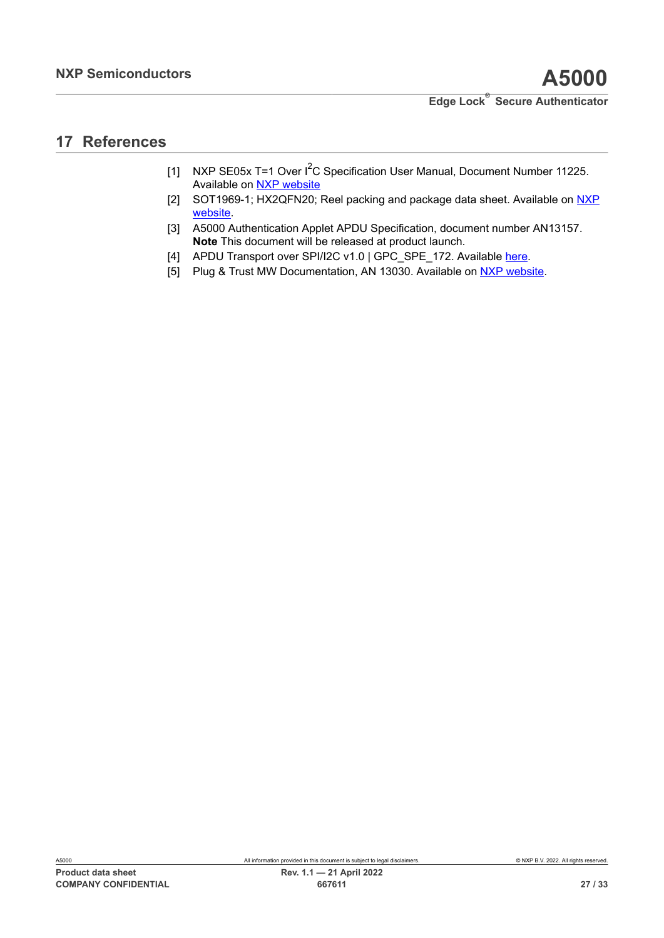# <span id="page-26-5"></span>**17 References**

- <span id="page-26-0"></span>[1] NXP SE05x T=1 Over I<sup>2</sup>C Specification User Manual, Document Number 11225. Available on [NXP website](https://www.nxp.com/docs/en/user-guide/UM11225.pdf)
- <span id="page-26-4"></span>[2] SOT1969-1; HX2QFN20; Reel packing and package data sheet. Available on [NXP](https://www.nxp.com/docs/en/package-information/SOT1969-1.pdf) [website.](https://www.nxp.com/docs/en/package-information/SOT1969-1.pdf)
- <span id="page-26-2"></span>[3] A5000 Authentication Applet APDU Specification, document number AN13157. **Note** This document will be released at product launch.
- <span id="page-26-1"></span>[4] APDU Transport over SPI/I2C v1.0 | GPC\_SPE\_172. Available [here](https://globalplatform.org/specs-library/apdu-transport-over-spi-i2c-v1-0-gpc_spe_172/).
- <span id="page-26-3"></span>[5] Plug & Trust MW Documentation, AN 13030. Available on [NXP website.](https://www.nxp.com/webapp/Download?colCode=AN13030-PLUG-TRUST-MW-DOCUMENTATION&location=null)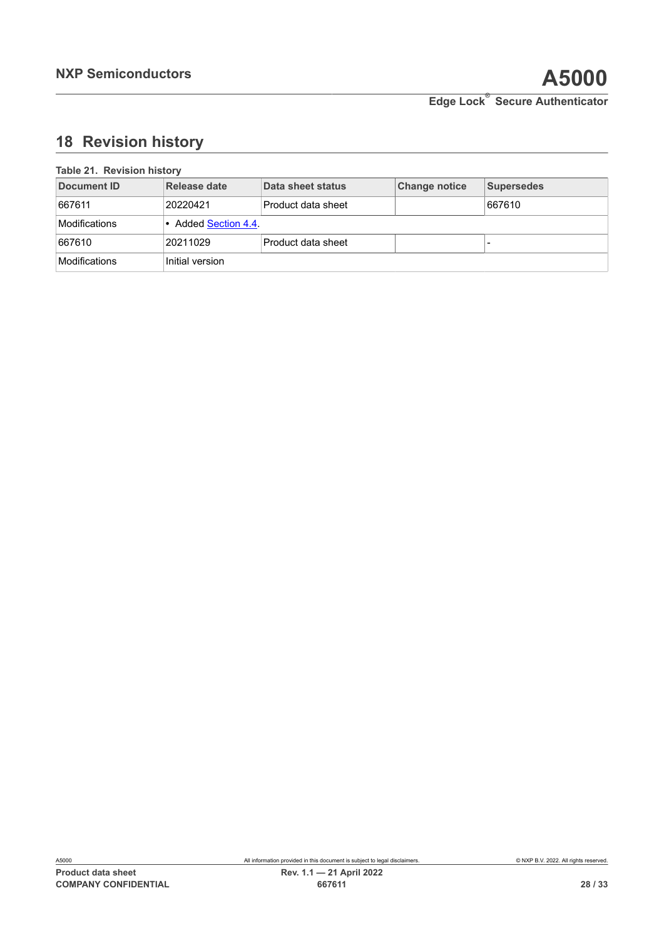# <span id="page-27-1"></span>**18 Revision history**

<span id="page-27-0"></span>

| 1000000101110001 |                      |                    |               |                   |
|------------------|----------------------|--------------------|---------------|-------------------|
| Document ID      | Release date         | Data sheet status  | Change notice | <b>Supersedes</b> |
| 667611           | 20220421             | Product data sheet |               | 667610            |
| Modifications    | • Added Section 4.4. |                    |               |                   |
| 667610           | 20211029             | Product data sheet |               |                   |
| Modifications    | Initial version      |                    |               |                   |

### **Table 21. Revision history**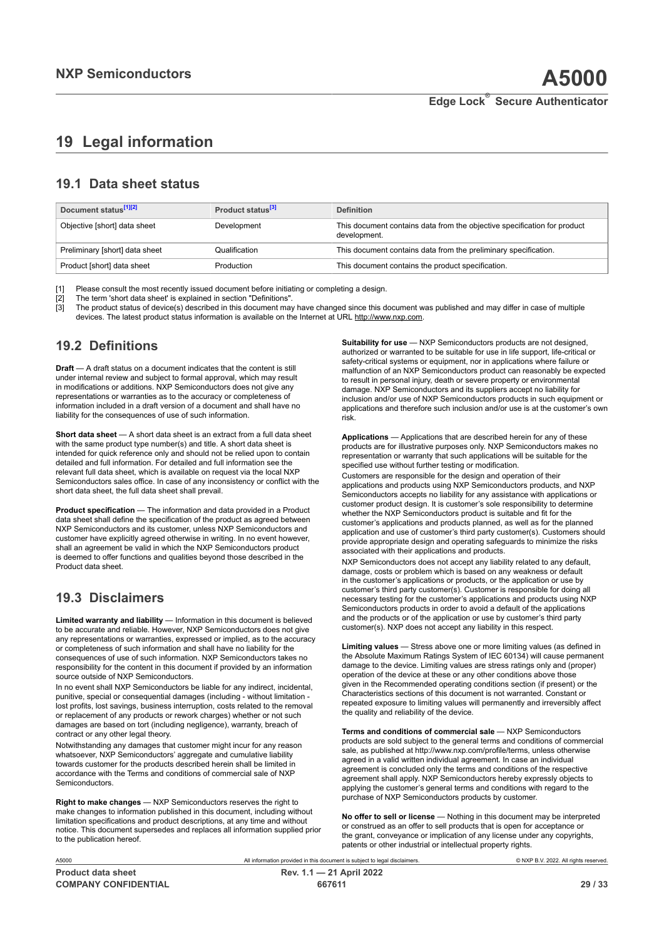# <span id="page-28-0"></span>**19 Legal information**

## **19.1 Data sheet status**

| Document status <sup>[1][2]</sup> | Product status <sup>[3]</sup> | <b>Definition</b>                                                                        |
|-----------------------------------|-------------------------------|------------------------------------------------------------------------------------------|
| Objective [short] data sheet      | Development                   | This document contains data from the objective specification for product<br>development. |
| Preliminary [short] data sheet    | Qualification                 | This document contains data from the preliminary specification.                          |
| Product [short] data sheet        | Production                    | This document contains the product specification.                                        |

[1] Please consult the most recently issued document before initiating or completing a design.<br>[2] The term 'short data sheet' is explained in section "Definitions".

[2] The term 'short data sheet' is explained in section "Definitions".<br>[2] The term 'short data sheet' is explained in section "Definitions".

[3] The product status of device(s) described in this document may have changed since this document was published and may differ in case of multiple devices. The latest product status information is available on the Internet at URL http://www.nxp.com.

# **19.2 Definitions**

**Draft** — A draft status on a document indicates that the content is still under internal review and subject to formal approval, which may result in modifications or additions. NXP Semiconductors does not give any representations or warranties as to the accuracy or completeness of information included in a draft version of a document and shall have no liability for the consequences of use of such information.

**Short data sheet** — A short data sheet is an extract from a full data sheet with the same product type number(s) and title. A short data sheet is intended for quick reference only and should not be relied upon to contain detailed and full information. For detailed and full information see the relevant full data sheet, which is available on request via the local NXP Semiconductors sales office. In case of any inconsistency or conflict with the short data sheet, the full data sheet shall prevail.

**Product specification** — The information and data provided in a Product data sheet shall define the specification of the product as agreed between NXP Semiconductors and its customer, unless NXP Semiconductors and customer have explicitly agreed otherwise in writing. In no event however, shall an agreement be valid in which the NXP Semiconductors product is deemed to offer functions and qualities beyond those described in the Product data sheet.

# **19.3 Disclaimers**

**Limited warranty and liability** — Information in this document is believed to be accurate and reliable. However, NXP Semiconductors does not give any representations or warranties, expressed or implied, as to the accuracy or completeness of such information and shall have no liability for the consequences of use of such information. NXP Semiconductors takes no responsibility for the content in this document if provided by an information source outside of NXP Semiconductors.

In no event shall NXP Semiconductors be liable for any indirect, incidental, punitive, special or consequential damages (including - without limitation lost profits, lost savings, business interruption, costs related to the removal or replacement of any products or rework charges) whether or not such damages are based on tort (including negligence), warranty, breach of contract or any other legal theory.

Notwithstanding any damages that customer might incur for any reason whatsoever, NXP Semiconductors' aggregate and cumulative liability towards customer for the products described herein shall be limited in accordance with the Terms and conditions of commercial sale of NXP Semiconductors.

**Right to make changes** — NXP Semiconductors reserves the right to make changes to information published in this document, including without limitation specifications and product descriptions, at any time and without notice. This document supersedes and replaces all information supplied prior to the publication hereof.

**Suitability for use** — NXP Semiconductors products are not designed, authorized or warranted to be suitable for use in life support, life-critical or safety-critical systems or equipment, nor in applications where failure or malfunction of an NXP Semiconductors product can reasonably be expected to result in personal injury, death or severe property or environmental damage. NXP Semiconductors and its suppliers accept no liability for inclusion and/or use of NXP Semiconductors products in such equipment or applications and therefore such inclusion and/or use is at the customer's own risk.

**Applications** — Applications that are described herein for any of these products are for illustrative purposes only. NXP Semiconductors makes no representation or warranty that such applications will be suitable for the specified use without further testing or modification.

Customers are responsible for the design and operation of their applications and products using NXP Semiconductors products, and NXP Semiconductors accepts no liability for any assistance with applications or customer product design. It is customer's sole responsibility to determine whether the NXP Semiconductors product is suitable and fit for the customer's applications and products planned, as well as for the planned application and use of customer's third party customer(s). Customers should provide appropriate design and operating safeguards to minimize the risks associated with their applications and products.

NXP Semiconductors does not accept any liability related to any default, damage, costs or problem which is based on any weakness or default in the customer's applications or products, or the application or use by customer's third party customer(s). Customer is responsible for doing all necessary testing for the customer's applications and products using NXP Semiconductors products in order to avoid a default of the applications and the products or of the application or use by customer's third party customer(s). NXP does not accept any liability in this respect.

**Limiting values** — Stress above one or more limiting values (as defined in the Absolute Maximum Ratings System of IEC 60134) will cause permanent damage to the device. Limiting values are stress ratings only and (proper) operation of the device at these or any other conditions above those given in the Recommended operating conditions section (if present) or the Characteristics sections of this document is not warranted. Constant or repeated exposure to limiting values will permanently and irreversibly affect the quality and reliability of the device.

**Terms and conditions of commercial sale** — NXP Semiconductors products are sold subject to the general terms and conditions of commercial sale, as published at http://www.nxp.com/profile/terms, unless otherwise agreed in a valid written individual agreement. In case an individual agreement is concluded only the terms and conditions of the respective agreement shall apply. NXP Semiconductors hereby expressly objects to applying the customer's general terms and conditions with regard to the purchase of NXP Semiconductors products by customer.

**No offer to sell or license** — Nothing in this document may be interpreted or construed as an offer to sell products that is open for acceptance or the grant, conveyance or implication of any license under any copyrights, patents or other industrial or intellectual property rights.

A5000 All information provided in this document is subject to legal disclaimers. © NXP B.V. 2022. All rights reserved.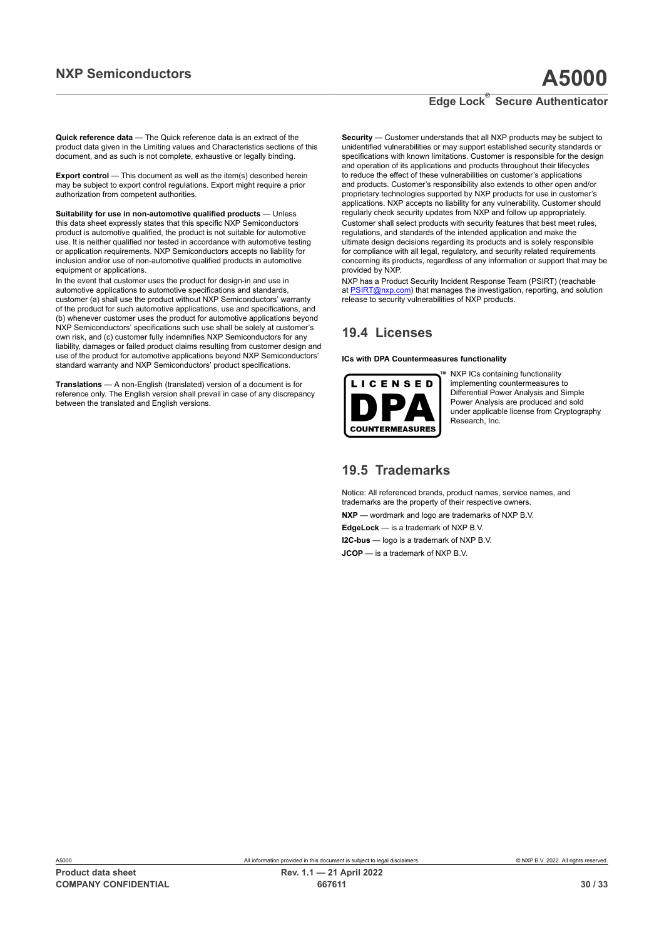**Quick reference data** — The Quick reference data is an extract of the product data given in the Limiting values and Characteristics sections of this document, and as such is not complete, exhaustive or legally binding.

**Export control** — This document as well as the item(s) described herein may be subject to export control regulations. Export might require a prior authorization from competent authorities.

**Suitability for use in non-automotive qualified products** — Unless this data sheet expressly states that this specific NXP Semiconductors product is automotive qualified, the product is not suitable for automotive use. It is neither qualified nor tested in accordance with automotive testing or application requirements. NXP Semiconductors accepts no liability for inclusion and/or use of non-automotive qualified products in automotive equipment or applications.

In the event that customer uses the product for design-in and use in automotive applications to automotive specifications and standards, customer (a) shall use the product without NXP Semiconductors' warranty of the product for such automotive applications, use and specifications, and (b) whenever customer uses the product for automotive applications beyond NXP Semiconductors' specifications such use shall be solely at customer's own risk, and (c) customer fully indemnifies NXP Semiconductors for any liability, damages or failed product claims resulting from customer design and use of the product for automotive applications beyond NXP Semiconductors' standard warranty and NXP Semiconductors' product specifications.

**Translations** — A non-English (translated) version of a document is for reference only. The English version shall prevail in case of any discrepancy between the translated and English versions.

**Security** — Customer understands that all NXP products may be subject to unidentified vulnerabilities or may support established security standards or specifications with known limitations. Customer is responsible for the design and operation of its applications and products throughout their lifecycles to reduce the effect of these vulnerabilities on customer's applications and products. Customer's responsibility also extends to other open and/or proprietary technologies supported by NXP products for use in customer's applications. NXP accepts no liability for any vulnerability. Customer should regularly check security updates from NXP and follow up appropriately. Customer shall select products with security features that best meet rules, regulations, and standards of the intended application and make the ultimate design decisions regarding its products and is solely responsible for compliance with all legal, regulatory, and security related requirements concerning its products, regardless of any information or support that may be provided by NXP.

NXP has a Product Security Incident Response Team (PSIRT) (reachable at [PSIRT@nxp.com](mailto:PSIRT@nxp.com)) that manages the investigation, reporting, and solution release to security vulnerabilities of NXP products.

## **19.4 Licenses**

**ICs with DPA Countermeasures functionality**



NXP ICs containing functionality implementing countermeasures to Differential Power Analysis and Simple Power Analysis are produced and sold under applicable license from Cryptography Research, Inc.

## **19.5 Trademarks**

Notice: All referenced brands, product names, service names, and trademarks are the property of their respective owners.

**NXP** — wordmark and logo are trademarks of NXP B.V.

**EdgeLock** — is a trademark of NXP B.V.

**I2C-bus** — logo is a trademark of NXP B.V. **JCOP** — is a trademark of NXP B.V.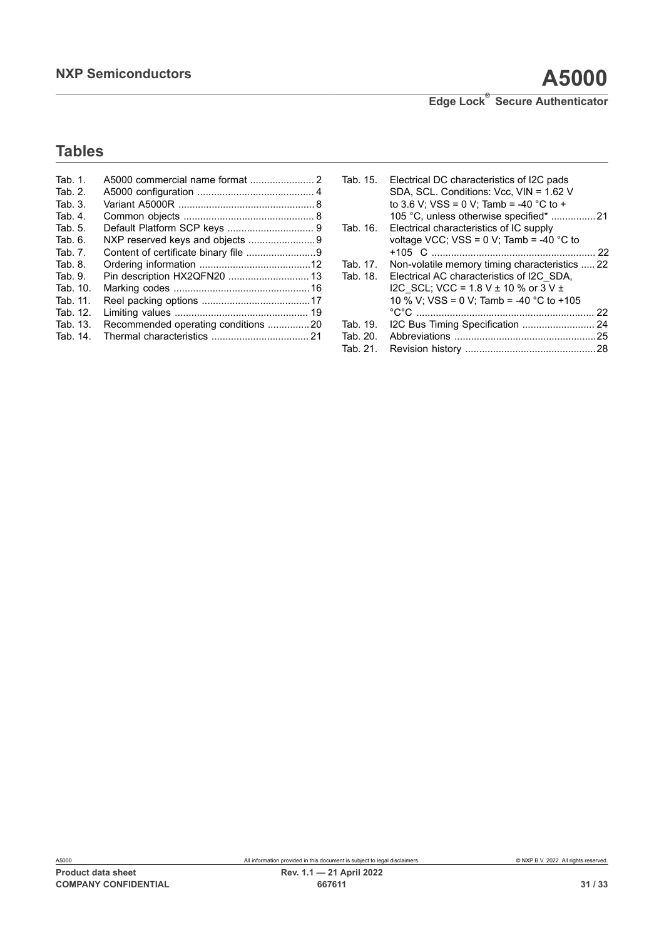# **Tables**

| Tab. 1.  |                                     |  |
|----------|-------------------------------------|--|
| Tab. 2.  |                                     |  |
| Tab. 3.  |                                     |  |
| Tab. 4.  |                                     |  |
| Tab. 5.  |                                     |  |
| Tab. 6.  |                                     |  |
| Tab. 7.  |                                     |  |
| Tab. 8.  |                                     |  |
| Tab. 9.  | Pin description HX2QFN20  13        |  |
| Tab. 10. |                                     |  |
| Tab. 11. |                                     |  |
| Tab. 12. |                                     |  |
| Tab. 13. | Recommended operating conditions 20 |  |
| Tab. 14. |                                     |  |
|          |                                     |  |

| Tab. 15. | Electrical DC characteristics of I2C pads      |    |
|----------|------------------------------------------------|----|
|          | SDA, SCL. Conditions: Vcc, VIN = 1.62 V        |    |
|          | to 3.6 V; VSS = 0 V; Tamb = -40 °C to +        |    |
|          | 105 °C, unless otherwise specified* 21         |    |
| Tab. 16. | Electrical characteristics of IC supply        |    |
|          | voltage VCC; VSS = $0$ V; Tamb = -40 °C to     |    |
|          |                                                | 22 |
| Tab. 17. | Non-volatile memory timing characteristics  22 |    |
| Tab. 18. | Electrical AC characteristics of I2C SDA,      |    |
|          | I2C SCL; VCC = 1.8 V $\pm$ 10 % or 3 V $\pm$   |    |
|          | 10 % V; VSS = 0 V; Tamb = -40 °C to +105       |    |
|          |                                                |    |
| Tab. 19. |                                                |    |
| Tab. 20. |                                                |    |
| Tab. 21. |                                                |    |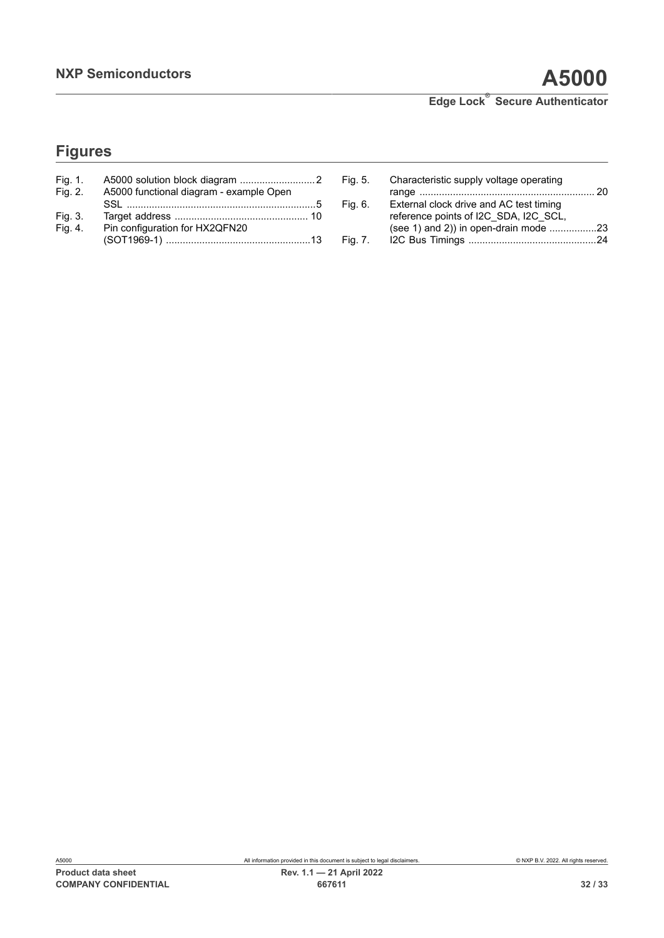# **Figures**

| Fig. 1. |                                         |  |
|---------|-----------------------------------------|--|
| Fig. 2. | A5000 functional diagram - example Open |  |
|         |                                         |  |
| Fig. 3. |                                         |  |
| Fig. 4. | Pin configuration for HX2QFN20          |  |
|         |                                         |  |

| Fig. 5. | Characteristic supply voltage operating |  |
|---------|-----------------------------------------|--|
|         |                                         |  |
| Fig. 6. | External clock drive and AC test timing |  |
|         | reference points of I2C SDA, I2C SCL,   |  |
|         |                                         |  |
| Fig. 7. |                                         |  |